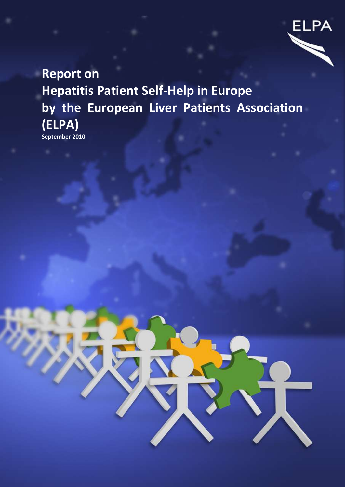

# **Report on Hepatitis Patient Self-Help in Europe by the European Liver Patients Association (ELPA) September 2010**

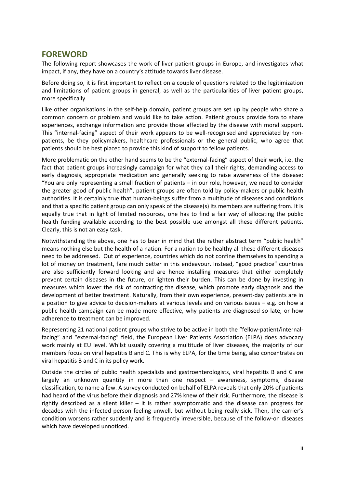# <span id="page-1-0"></span>**FOREWORD**

The following report showcases the work of liver patient groups in Europe, and investigates what impact, if any, they have on a country's attitude towards liver disease.

Before doing so, it is first important to reflect on a couple of questions related to the legitimization and limitations of patient groups in general, as well as the particularities of liver patient groups, more specifically.

Like other organisations in the self-help domain, patient groups are set up by people who share a common concern or problem and would like to take action. Patient groups provide fora to share experiences, exchange information and provide those affected by the disease with moral support. This "internal-facing" aspect of their work appears to be well-recognised and appreciated by nonpatients, be they policymakers, healthcare professionals or the general public, who agree that patients should be best placed to provide this kind of support to fellow patients.

More problematic on the other hand seems to be the "external-facing" aspect of their work, i.e. the fact that patient groups increasingly campaign for what they call their rights, demanding access to early diagnosis, appropriate medication and generally seeking to raise awareness of the disease: "You are only representing a small fraction of patients – in our role, however, we need to consider the greater good of public health", patient groups are often told by policy-makers or public health authorities. It is certainly true that human-beings suffer from a multitude of diseases and conditions and that a specific patient group can only speak of the disease(s) its members are suffering from. It is equally true that in light of limited resources, one has to find a fair way of allocating the public health funding available according to the best possible use amongst all these different patients. Clearly, this is not an easy task.

Notwithstanding the above, one has to bear in mind that the rather abstract term "public health" means nothing else but the health of a nation. For a nation to be healthy all these different diseases need to be addressed. Out of experience, countries which do not confine themselves to spending a lot of money on treatment, fare much better in this endeavour. Instead, "good practice" countries are also sufficiently forward looking and are hence installing measures that either completely prevent certain diseases in the future, or lighten their burden. This can be done by investing in measures which lower the risk of contracting the disease, which promote early diagnosis and the development of better treatment. Naturally, from their own experience, present-day patients are in a position to give advice to decision-makers at various levels and on various issues – e.g. on how a public health campaign can be made more effective, why patients are diagnosed so late, or how adherence to treatment can be improved.

Representing 21 national patient groups who strive to be active in both the "fellow-patient/internalfacing" and "external-facing" field, the European Liver Patients Association (ELPA) does advocacy work mainly at EU level. Whilst usually covering a multitude of liver diseases, the majority of our members focus on viral hepatitis B and C. This is why ELPA, for the time being, also concentrates on viral hepatitis B and C in its policy work.

Outside the circles of public health specialists and gastroenterologists, viral hepatitis B and C are largely an unknown quantity in more than one respect – awareness, symptoms, disease classification, to name a few. A survey conducted on behalf of ELPA reveals that only 20% of patients had heard of the virus before their diagnosis and 27% knew of their risk. Furthermore, the disease is rightly described as a silent killer  $-$  it is rather asymptomatic and the disease can progress for decades with the infected person feeling unwell, but without being really sick. Then, the carrier's condition worsens rather suddenly and is frequently irreversible, because of the follow-on diseases which have developed unnoticed.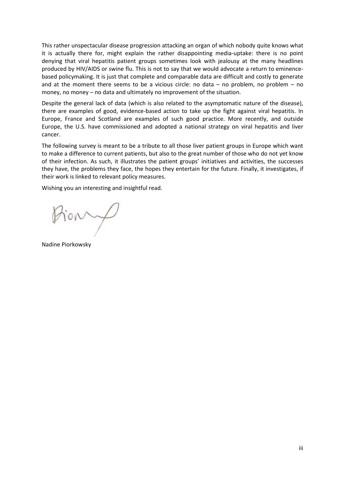This rather unspectacular disease progression attacking an organ of which nobody quite knows what it is actually there for, might explain the rather disappointing media-uptake: there is no point denying that viral hepatitis patient groups sometimes look with jealousy at the many headlines produced by HIV/AIDS or swine flu. This is not to say that we would advocate a return to eminencebased policymaking. It is just that complete and comparable data are difficult and costly to generate and at the moment there seems to be a vicious circle: no data  $-$  no problem, no problem  $-$  no money, no money – no data and ultimately no improvement of the situation.

Despite the general lack of data (which is also related to the asymptomatic nature of the disease), there are examples of good, evidence-based action to take up the fight against viral hepatitis. In Europe, France and Scotland are examples of such good practice. More recently, and outside Europe, the U.S. have commissioned and adopted a national strategy on viral hepatitis and liver cancer.

The following survey is meant to be a tribute to all those liver patient groups in Europe which want to make a difference to current patients, but also to the great number of those who do not yet know of their infection. As such, it illustrates the patient groups' initiatives and activities, the successes they have, the problems they face, the hopes they entertain for the future. Finally, it investigates, if their work is linked to relevant policy measures.

Wishing you an interesting and insightful read.

tiony

Nadine Piorkowsky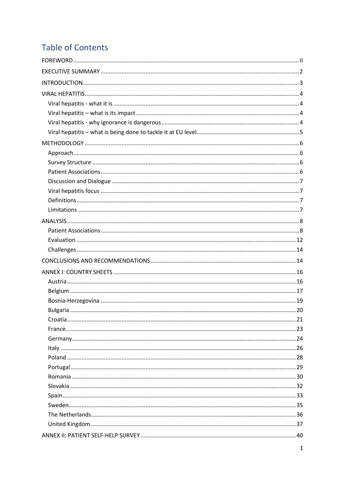# **Table of Contents**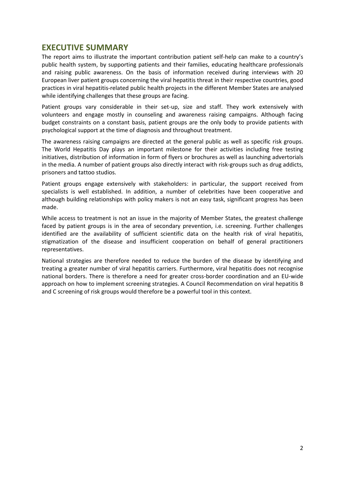# <span id="page-4-0"></span>**EXECUTIVE SUMMARY**

The report aims to illustrate the important contribution patient self-help can make to a country's public health system, by supporting patients and their families, educating healthcare professionals and raising public awareness. On the basis of information received during interviews with 20 European liver patient groups concerning the viral hepatitis threat in their respective countries, good practices in viral hepatitis-related public health projects in the different Member States are analysed while identifying challenges that these groups are facing.

Patient groups vary considerable in their set-up, size and staff. They work extensively with volunteers and engage mostly in counseling and awareness raising campaigns. Although facing budget constraints on a constant basis, patient groups are the only body to provide patients with psychological support at the time of diagnosis and throughout treatment.

The awareness raising campaigns are directed at the general public as well as specific risk groups. The World Hepatitis Day plays an important milestone for their activities including free testing initiatives, distribution of information in form of flyers or brochures as well as launching advertorials in the media. A number of patient groups also directly interact with risk-groups such as drug addicts, prisoners and tattoo studios.

Patient groups engage extensively with stakeholders: in particular, the support received from specialists is well established. In addition, a number of celebrities have been cooperative and although building relationships with policy makers is not an easy task, significant progress has been made.

While access to treatment is not an issue in the majority of Member States, the greatest challenge faced by patient groups is in the area of secondary prevention, i.e. screening. Further challenges identified are the availability of sufficient scientific data on the health risk of viral hepatitis, stigmatization of the disease and insufficient cooperation on behalf of general practitioners representatives.

National strategies are therefore needed to reduce the burden of the disease by identifying and treating a greater number of viral hepatitis carriers. Furthermore, viral hepatitis does not recognise national borders. There is therefore a need for greater cross-border coordination and an EU-wide approach on how to implement screening strategies. A Council Recommendation on viral hepatitis B and C screening of risk groups would therefore be a powerful tool in this context.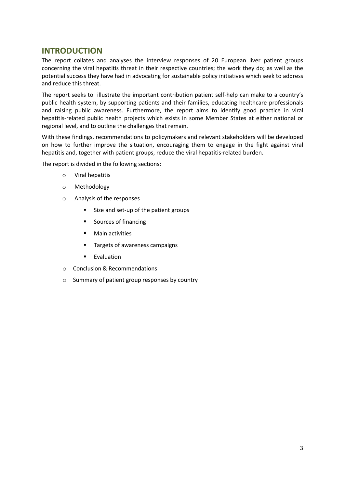# <span id="page-5-0"></span>**INTRODUCTION**

The report collates and analyses the interview responses of 20 European liver patient groups concerning the viral hepatitis threat in their respective countries; the work they do; as well as the potential success they have had in advocating for sustainable policy initiatives which seek to address and reduce this threat.

The report seeks to illustrate the important contribution patient self-help can make to a country's public health system, by supporting patients and their families, educating healthcare professionals and raising public awareness. Furthermore, the report aims to identify good practice in viral hepatitis-related public health projects which exists in some Member States at either national or regional level, and to outline the challenges that remain.

With these findings, recommendations to policymakers and relevant stakeholders will be developed on how to further improve the situation, encouraging them to engage in the fight against viral hepatitis and, together with patient groups, reduce the viral hepatitis-related burden.

The report is divided in the following sections:

- o Viral hepatitis
- o Methodology
- o Analysis of the responses
	- Size and set-up of the patient groups
	- **Sources of financing**
	- **•** Main activities
	- **Targets of awareness campaigns**
	- **Evaluation**
- o Conclusion & Recommendations
- o Summary of patient group responses by country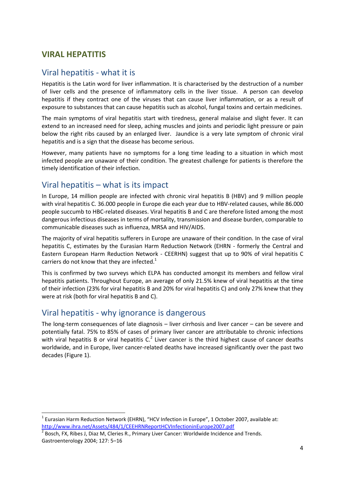# <span id="page-6-0"></span>**VIRAL HEPATITIS**

# <span id="page-6-1"></span>Viral hepatitis - what it is

Hepatitis is the Latin word for liver inflammation. It is characterised by the destruction of a number of liver cells and the presence of inflammatory cells in the liver tissue. A person can develop hepatitis if they contract one of the viruses that can cause liver inflammation, or as a result of exposure to substances that can cause hepatitis such as alcohol, fungal toxins and certain medicines.

The main symptoms of viral hepatitis start with tiredness, general malaise and slight fever. It can extend to an increased need for sleep, aching muscles and joints and periodic light pressure or pain below the right ribs caused by an enlarged liver. Jaundice is a very late symptom of chronic viral hepatitis and is a sign that the disease has become serious.

However, many patients have no symptoms for a long time leading to a situation in which most infected people are unaware of their condition. The greatest challenge for patients is therefore the timely identification of their infection.

# <span id="page-6-2"></span>Viral hepatitis – what is its impact

In Europe, 14 million people are infected with chronic viral hepatitis B (HBV) and 9 million people with viral hepatitis C. 36.000 people in Europe die each year due to HBV-related causes, while 86.000 people succumb to HBC-related diseases. Viral hepatitis B and C are therefore listed among the most dangerous infectious diseases in terms of mortality, transmission and disease burden, comparable to communicable diseases such as influenza, MRSA and HIV/AIDS.

The majority of viral hepatitis sufferers in Europe are unaware of their condition. In the case of viral hepatitis C, estimates by the Eurasian Harm Reduction Network (EHRN - formerly the Central and Eastern European Harm Reduction Network - CEERHN) suggest that up to 90% of viral hepatitis C carriers do not know that they are infected.<sup>1</sup>

This is confirmed by two surveys which ELPA has conducted amongst its members and fellow viral hepatitis patients. Throughout Europe, an average of only 21.5% knew of viral hepatitis at the time of their infection (23% for viral hepatitis B and 20% for viral hepatitis C) and only 27% knew that they were at risk (both for viral hepatitis B and C).

# <span id="page-6-3"></span>Viral hepatitis - why ignorance is dangerous

1

The long-term consequences of late diagnosis – liver cirrhosis and liver cancer – can be severe and potentially fatal. 75% to 85% of cases of primary liver cancer are attributable to chronic infections with viral hepatitis B or viral hepatitis  $C<sup>2</sup>$  Liver cancer is the third highest cause of cancer deaths worldwide, and in Europe, liver cancer-related deaths have increased significantly over the past two decades (Figure 1).

 $<sup>1</sup>$  Eurasian Harm Reduction Network (EHRN), "HCV Infection in Europe", 1 October 2007, available at:</sup> <http://www.ihra.net/Assets/484/1/CEEHRNReportHCVInfectioninEurope2007.pdf>

<sup>2</sup> Bosch, FX, Ribes J, Diaz M, Cleries R., Primary Liver Cancer: Worldwide Incidence and Trends. Gastroenterology 2004; 127: 5–16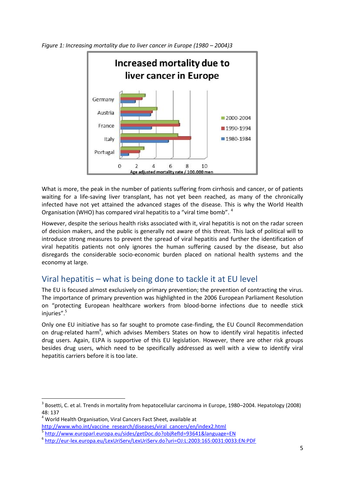

*Figure 1: Increasing mortality due to liver cancer in Europe (1980 – 2004)3* 

What is more, the peak in the number of patients suffering from cirrhosis and cancer, or of patients waiting for a life-saving liver transplant, has not yet been reached, as many of the chronically infected have not yet attained the advanced stages of the disease. This is why the World Health Organisation (WHO) has compared viral hepatitis to a "viral time bomb". <sup>4</sup>

However, despite the serious health risks associated with it, viral hepatitis is not on the radar screen of decision makers, and the public is generally not aware of this threat. This lack of political will to introduce strong measures to prevent the spread of viral hepatitis and further the identification of viral hepatitis patients not only ignores the human suffering caused by the disease, but also disregards the considerable socio-economic burden placed on national health systems and the economy at large.

# <span id="page-7-0"></span>Viral hepatitis – what is being done to tackle it at EU level

The EU is focused almost exclusively on primary prevention; the prevention of contracting the virus. The importance of primary prevention was highlighted in the 2006 European Parliament Resolution on "protecting European healthcare workers from blood-borne infections due to needle stick injuries". 5

Only one EU initiative has so far sought to promote case-finding, the EU Council Recommendation on drug-related harm<sup>6</sup>, which advises Members States on how to identify viral hepatitis infected drug users. Again, ELPA is supportive of this EU legislation. However, there are other risk groups besides drug users, which need to be specifically addressed as well with a view to identify viral hepatitis carriers before it is too late.

**.** 

<sup>&</sup>lt;sup>3</sup> Bosetti, C. et al. Trends in mortality from hepatocellular carcinoma in Europe, 1980–2004. Hepatology (2008) 48: 137

<sup>4</sup> World Health Organisation, Viral Cancers Fact Sheet, available at

[http://www.who.int/vaccine\\_research/diseases/viral\\_cancers/en/index2.html](http://www.who.int/vaccine_research/diseases/viral_cancers/en/index2.html)

<sup>5</sup> <http://www.europarl.europa.eu/sides/getDoc.do?objRefId=93641&language=EN>

<sup>6</sup> <http://eur-lex.europa.eu/LexUriServ/LexUriServ.do?uri=OJ:L:2003:165:0031:0033:EN:PDF>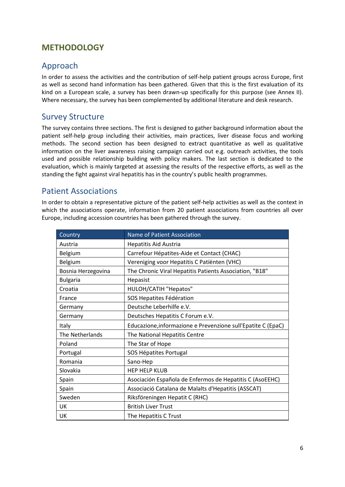# <span id="page-8-0"></span>**METHODOLOGY**

# <span id="page-8-1"></span>Approach

In order to assess the activities and the contribution of self-help patient groups across Europe, first as well as second hand information has been gathered. Given that this is the first evaluation of its kind on a European scale, a survey has been drawn-up specifically for this purpose (see Annex II). Where necessary, the survey has been complemented by additional literature and desk research.

# <span id="page-8-2"></span>Survey Structure

The survey contains three sections. The first is designed to gather background information about the patient self-help group including their activities, main practices, liver disease focus and working methods. The second section has been designed to extract quantitative as well as qualitative information on the liver awareness raising campaign carried out e.g. outreach activities, the tools used and possible relationship building with policy makers. The last section is dedicated to the evaluation, which is mainly targeted at assessing the results of the respective efforts, as well as the standing the fight against viral hepatitis has in the country's public health programmes.

# <span id="page-8-3"></span>Patient Associations

In order to obtain a representative picture of the patient self-help activities as well as the context in which the associations operate, information from 20 patient associations from countries all over Europe, including accession countries has been gathered through the survey.

| Country            | <b>Name of Patient Association</b>                           |  |  |
|--------------------|--------------------------------------------------------------|--|--|
| Austria            | Hepatitis Aid Austria                                        |  |  |
| Belgium            | Carrefour Hépatites-Aide et Contact (CHAC)                   |  |  |
| Belgium            | Vereniging voor Hepatitis C Patiënten (VHC)                  |  |  |
| Bosnia Herzegovina | The Chronic Viral Hepatitis Patients Association, "B18"      |  |  |
| <b>Bulgaria</b>    | Hepasist                                                     |  |  |
| Croatia            | HULOH/CATIH "Hepatos"                                        |  |  |
| France             | SOS Hepatites Fédération                                     |  |  |
| Germany            | Deutsche Leberhilfe e.V.                                     |  |  |
| Germany            | Deutsches Hepatitis C Forum e.V.                             |  |  |
| Italy              | Educazione, informazione e Prevenzione sull'Epatite C (EpaC) |  |  |
| The Netherlands    | The National Hepatitis Centre                                |  |  |
| Poland             | The Star of Hope                                             |  |  |
| Portugal           | SOS Hépatites Portugal                                       |  |  |
| Romania            | Sano-Hep                                                     |  |  |
| Slovakia           | <b>HEP HELP KLUB</b>                                         |  |  |
| Spain              | Asociación Española de Enfermos de Hepatitis C (AsoEEHC)     |  |  |
| Spain              | Associació Catalana de Malalts d'Hepatitis (ASSCAT)          |  |  |
| Sweden             | Riksföreningen Hepatit C (RHC)                               |  |  |
| UK                 | <b>British Liver Trust</b>                                   |  |  |
| UK                 | The Hepatitis C Trust                                        |  |  |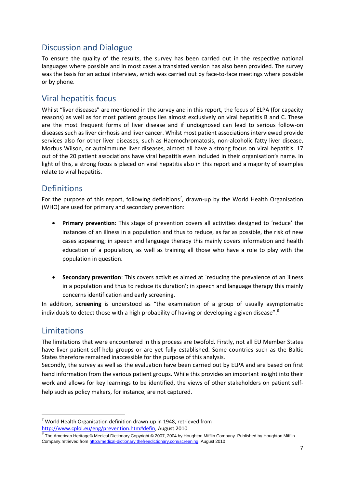# <span id="page-9-0"></span>Discussion and Dialogue

To ensure the quality of the results, the survey has been carried out in the respective national languages where possible and in most cases a translated version has also been provided. The survey was the basis for an actual interview, which was carried out by face-to-face meetings where possible or by phone.

# <span id="page-9-1"></span>Viral hepatitis focus

Whilst "liver diseases" are mentioned in the survey and in this report, the focus of ELPA (for capacity reasons) as well as for most patient groups lies almost exclusively on viral hepatitis B and C. These are the most frequent forms of liver disease and if undiagnosed can lead to serious follow-on diseases such as liver cirrhosis and liver cancer. Whilst most patient associations interviewed provide services also for other liver diseases, such as Haemochromatosis, non-alcoholic fatty liver disease, Morbus Wilson, or autoimmune liver diseases, almost all have a strong focus on viral hepatitis. 17 out of the 20 patient associations have viral hepatitis even included in their organisation's name. In light of this, a strong focus is placed on viral hepatitis also in this report and a majority of examples relate to viral hepatitis.

# <span id="page-9-2"></span>Definitions

For the purpose of this report, following definitions<sup>7</sup>, drawn-up by the World Health Organisation (WHO) are used for primary and secondary prevention:

- **Primary prevention**: This stage of prevention covers all activities designed to 'reduce' the instances of an illness in a population and thus to reduce, as far as possible, the risk of new cases appearing; in speech and language therapy this mainly covers information and health education of a population, as well as training all those who have a role to play with the population in question.
- **Secondary prevention**: This covers activities aimed at `reducing the prevalence of an illness in a population and thus to reduce its duration'; in speech and language therapy this mainly concerns identification and early screening.

In addition, **screening** is understood as "the examination of a group of usually asymptomatic individuals to detect those with a high probability of having or developing a given disease".<sup>8</sup>

# <span id="page-9-3"></span>Limitations

**.** 

The limitations that were encountered in this process are twofold. Firstly, not all EU Member States have liver patient self-help groups or are yet fully established. Some countries such as the Baltic States therefore remained inaccessible for the purpose of this analysis.

Secondly, the survey as well as the evaluation have been carried out by ELPA and are based on first hand information from the various patient groups. While this provides an important insight into their work and allows for key learnings to be identified, the views of other stakeholders on patient selfhelp such as policy makers, for instance, are not captured.

 $7$  World Health Organisation definition drawn-up in 1948, retrieved from [http://www.cplol.eu/eng/prevention.htm#defin,](http://www.cplol.eu/eng/prevention.htm#defin) August 2010<br><sup>8</sup> The Augustical Uniters®Mathel Distinces Occupity® 2007-2004 by U

The American Heritage® Medical Dictionary Copyright © 2007, 2004 by Houghton Mifflin Company. Published b[y Houghton Mifflin](http://www.eref-trade.hmco.com/)  [Company.](http://www.eref-trade.hmco.com/)retrieved fro[m http://medical-dictionary.thefreedictionary.com/screening,](http://medical-dictionary.thefreedictionary.com/screening) August 2010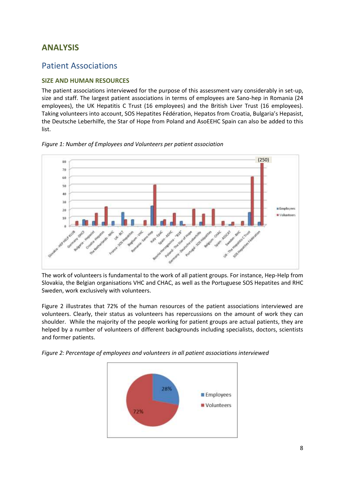# <span id="page-10-0"></span>**ANALYSIS**

# <span id="page-10-1"></span>Patient Associations

# **SIZE AND HUMAN RESOURCES**

The patient associations interviewed for the purpose of this assessment vary considerably in set-up, size and staff. The largest patient associations in terms of employees are Sano-hep in Romania (24 employees), the UK Hepatitis C Trust (16 employees) and the British Liver Trust (16 employees). Taking volunteers into account, SOS Hepatites Fédération, Hepatos from Croatia, Bulgaria's Hepasist, the Deutsche Leberhilfe, the Star of Hope from Poland and AsoEEHC Spain can also be added to this list.





The work of volunteers is fundamental to the work of all patient groups. For instance, Hep-Help from Slovakia, the Belgian organisations VHC and CHAC, as well as the Portuguese SOS Hepatites and RHC Sweden, work exclusively with volunteers.

Figure 2 illustrates that 72% of the human resources of the patient associations interviewed are volunteers. Clearly, their status as volunteers has repercussions on the amount of work they can shoulder. While the majority of the people working for patient groups are actual patients, they are helped by a number of volunteers of different backgrounds including specialists, doctors, scientists and former patients.

*Figure 2: Percentage of employees and volunteers in all patient associations interviewed*

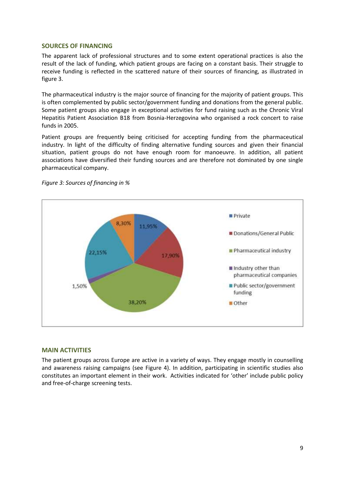# **SOURCES OF FINANCING**

The apparent lack of professional structures and to some extent operational practices is also the result of the lack of funding, which patient groups are facing on a constant basis. Their struggle to receive funding is reflected in the scattered nature of their sources of financing, as illustrated in figure 3.

The pharmaceutical industry is the major source of financing for the majority of patient groups. This is often complemented by public sector/government funding and donations from the general public. Some patient groups also engage in exceptional activities for fund raising such as the Chronic Viral Hepatitis Patient Association B18 from Bosnia-Herzegovina who organised a rock concert to raise funds in 2005.

Patient groups are frequently being criticised for accepting funding from the pharmaceutical industry. In light of the difficulty of finding alternative funding sources and given their financial situation, patient groups do not have enough room for manoeuvre. In addition, all patient associations have diversified their funding sources and are therefore not dominated by one single pharmaceutical company.



*Figure 3: Sources of financing in %* 

# **MAIN ACTIVITIES**

The patient groups across Europe are active in a variety of ways. They engage mostly in counselling and awareness raising campaigns (see Figure 4). In addition, participating in scientific studies also constitutes an important element in their work. Activities indicated for 'other' include public policy and free-of-charge screening tests.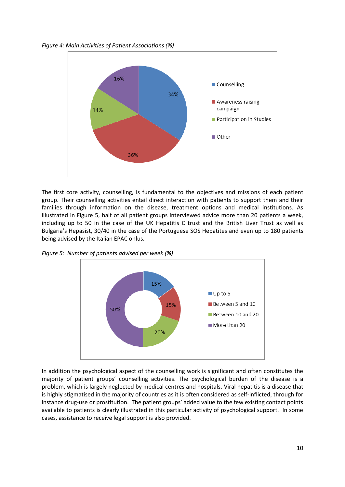*Figure 4: Main Activities of Patient Associations (%)*



The first core activity, counselling, is fundamental to the objectives and missions of each patient group. Their counselling activities entail direct interaction with patients to support them and their families through information on the disease, treatment options and medical institutions. As illustrated in Figure 5, half of all patient groups interviewed advice more than 20 patients a week, including up to 50 in the case of the UK Hepatitis C trust and the British Liver Trust as well as Bulgaria's Hepasist, 30/40 in the case of the Portuguese SOS Hepatites and even up to 180 patients being advised by the Italian EPAC onlus.

*Figure 5: Number of patients advised per week (%)*



In addition the psychological aspect of the counselling work is significant and often constitutes the majority of patient groups' counselling activities. The psychological burden of the disease is a problem, which is largely neglected by medical centres and hospitals. Viral hepatitis is a disease that is highly stigmatised in the majority of countries as it is often considered as self-inflicted, through for instance drug-use or prostitution. The patient groups' added value to the few existing contact points available to patients is clearly illustrated in this particular activity of psychological support. In some cases, assistance to receive legal support is also provided.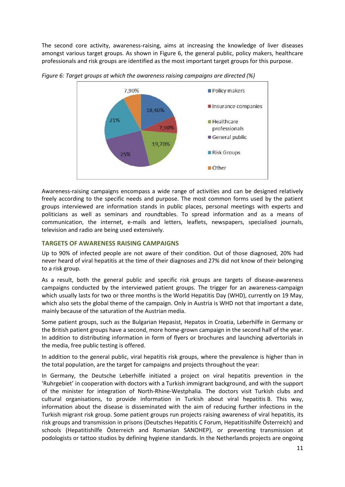The second core activity, awareness-raising, aims at increasing the knowledge of liver diseases amongst various target groups. As shown in Figure 6, the general public, policy makers, healthcare professionals and risk groups are identified as the most important target groups for this purpose.



*Figure 6: Target groups at which the awareness raising campaigns are directed (%)*

Awareness-raising campaigns encompass a wide range of activities and can be designed relatively freely according to the specific needs and purpose. The most common forms used by the patient groups interviewed are information stands in public places, personal meetings with experts and politicians as well as seminars and roundtables. To spread information and as a means of communication, the internet, e-mails and letters, leaflets, newspapers, specialised journals, television and radio are being used extensively.

# **TARGETS OF AWARENESS RAISING CAMPAIGNS**

Up to 90% of infected people are not aware of their condition. Out of those diagnosed, 20% had never heard of viral hepatitis at the time of their diagnoses and 27% did not know of their belonging to a risk group.

As a result, both the general public and specific risk groups are targets of disease-awareness campaigns conducted by the interviewed patient groups. The trigger for an awareness-campaign which usually lasts for two or three months is the World Hepatitis Day (WHD), currently on 19 May, which also sets the global theme of the campaign. Only in Austria is WHD not that important a date, mainly because of the saturation of the Austrian media.

Some patient groups, such as the Bulgarian Hepasist, Hepatos in Croatia, Leberhilfe in Germany or the British patient groups have a second, more home-grown campaign in the second half of the year. In addition to distributing information in form of flyers or brochures and launching advertorials in the media, free public testing is offered.

In addition to the general public, viral hepatitis risk groups, where the prevalence is higher than in the total population, are the target for campaigns and projects throughout the year:

In Germany, the Deutsche Leberhilfe initiated a project on viral hepatitis prevention in the 'Ruhrgebiet' in cooperation with doctors with a Turkish immigrant background, and with the support of the minister for integration of North-Rhine-Westphalia. The doctors visit Turkish clubs and cultural organisations, to provide information in Turkish about viral hepatitis B. This way, information about the disease is disseminated with the aim of reducing further infections in the Turkish migrant risk group. Some patient groups run projects raising awareness of viral hepatitis, its risk groups and transmission in prisons (Deutsches Hepatitis C Forum, Hepatitisshilfe Österreich) and schools (Hepatitishilfe Österreich and Romanian SANOHEP), or preventing transmission at podologists or tattoo studios by defining hygiene standards. In the Netherlands projects are ongoing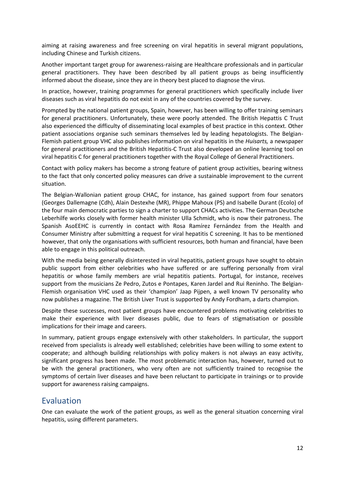aiming at raising awareness and free screening on viral hepatitis in several migrant populations, including Chinese and Turkish citizens.

Another important target group for awareness-raising are Healthcare professionals and in particular general practitioners. They have been described by all patient groups as being insufficiently informed about the disease, since they are in theory best placed to diagnose the virus.

In practice, however, training programmes for general practitioners which specifically include liver diseases such as viral hepatitis do not exist in any of the countries covered by the survey.

Prompted by the national patient groups, Spain, however, has been willing to offer training seminars for general practitioners. Unfortunately, these were poorly attended. The British Hepattis C Trust also experienced the difficulty of disseminating local examples of best practice in this context. Other patient associations organise such seminars themselves led by leading hepatologists. The Belgian-Flemish patient group VHC also publishes information on viral hepatitis in the *Huisarts,* a newspaper for general practitioners and the British Hepatitis-C Trust also developed an online learning tool on viral hepatitis C for general practitioners together with the Royal College of General Practitioners.

Contact with policy makers has become a strong feature of patient group activities, bearing witness to the fact that only concerted policy measures can drive a sustainable improvement to the current situation.

The Belgian-Wallonian patient group CHAC, for instance, has gained support from four senators (Georges Dallemagne (Cdh), Alain Destexhe (MR), Phippe Mahoux (PS) and Isabelle Durant (Ecolo) of the four main democratic parties to sign a charter to support CHACs activities. The German Deutsche Leberhilfe works closely with former health minister Ulla Schmidt, who is now their patroness. The Spanish AsoEEHC is currently in contact with Rosa Ramírez Fernández from the Health and Consumer Ministry after submitting a request for viral hepatitis C screening. It has to be mentioned however, that only the organisations with sufficient resources, both human and financial, have been able to engage in this political outreach.

With the media being generally disinterested in viral hepatitis, patient groups have sought to obtain public support from either celebrities who have suffered or are suffering personally from viral hepatitis or whose family members are vrial hepatitis patients. Portugal, for instance, receives support from the musicians Ze Pedro, Zutos e Pontapes, Karen Jardel and Rui Reninho. The Belgian-Flemish organisation VHC used as their 'champion' Jaap Pijpen, a well known TV personality who now publishes a magazine. The British Liver Trust is supported by Andy Fordham, a darts champion.

Despite these successes, most patient groups have encountered problems motivating celebrities to make their experience with liver diseases public, due to fears of stigmatisation or possible implications for their image and careers.

In summary, patient groups engage extensively with other stakeholders. In particular, the support received from specialists is already well established; celebrities have been willing to some extent to cooperate; and although building relationships with policy makers is not always an easy activity, significant progress has been made. The most problematic interaction has, however, turned out to be with the general practitioners, who very often are not sufficiently trained to recognise the symptoms of certain liver diseases and have been reluctant to participate in trainings or to provide support for awareness raising campaigns.

# <span id="page-14-0"></span>Evaluation

One can evaluate the work of the patient groups, as well as the general situation concerning viral hepatitis, using different parameters.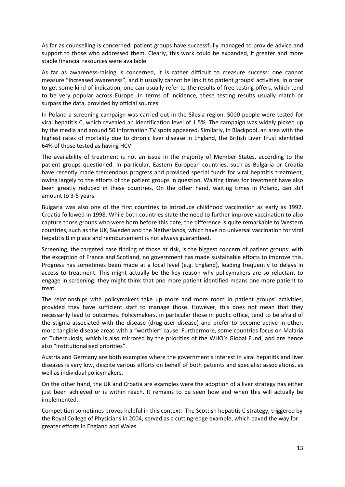As far as counselling is concerned, patient groups have successfully managed to provide advice and support to those who addressed them. Clearly, this work could be expanded, if greater and more stable financial resources were available.

As far as awareness-raising is concerned, it is rather difficult to measure success: one cannot measure "increased awareness", and it usually cannot be link it to patient groups' activities. In order to get some kind of indication, one can usually refer to the results of free testing offers, which tend to be very popular across Europe. In terms of incidence, these testing results usually match or surpass the data, provided by official sources.

In Poland a screening campaign was carried out in the Silesia region. 5000 people were tested for viral hepatitis C, which revealed an identification level of 1.5%. The campaign was widely picked up by the media and around 50 information TV spots appeared. Similarly, in Blackpool, an area with the highest rates of mortality due to chronic liver disease in England, the British Liver Trust identified 64% of those tested as having HCV.

The availability of treatment is not an issue in the majority of Member States, according to the patient groups questioned. In particular, Eastern European countries, such as Bulgaria or Croatia have recently made tremendous progress and provided special funds for viral hepatitis treatment, owing largely to the efforts of the patient groups in question. Waiting times for treatment have also been greatly reduced in these countries. On the other hand, waiting times in Poland, can still amount to 3-5 years.

Bulgaria was also one of the first countries to introduce childhood vaccination as early as 1992. Croatia followed in 1998. While both countries state the need to further improve vaccination to also capture those groups who were born before this date, the difference is quite remarkable to Western countries, such as the UK, Sweden and the Netherlands, which have no universal vaccination for viral hepatitis B in place and reimbursement is not always guaranteed.

Screening, the targeted case finding of those at risk, is the biggest concern of patient groups: with the exception of France and Scotland, no government has made sustainable efforts to improve this. Progress has sometimes been made at a local level (e.g. England), leading frequently to delays in access to treatment. This might actually be the key reason why policymakers are so reluctant to engage in screening: they might think that one more patient identified means one more patient to treat.

The relationships with policymakers take up more and more room in patient groups' activities, provided they have sufficient staff to manage those. However, this does not mean that they necessarily lead to outcomes. Policymakers, in particular those in public office, tend to be afraid of the stigma associated with the disease (drug-user disease) and prefer to become active in other, more tangible disease areas with a "worthier" cause. Furthermore, some countries focus on Malaria or Tuberculosis, which is also mirrored by the priorities of the WHO's Global Fund, and are hence also "institutionalised priorities".

Austria and Germany are both examples where the government's interest in viral hepatitis and liver diseases is very low, despite various efforts on behalf of both patients and specialist associations, as well as individual policymakers.

On the other hand, the UK and Croatia are examples were the adoption of a liver strategy has either just been achieved or is within reach. It remains to be seen how and when this will actually be implemented.

Competition sometimes proves helpful in this context: The Scottish hepatitis C strategy, triggered by the Royal College of Physicians in 2004, served as a cutting-edge example, which paved the way for greater efforts in England and Wales.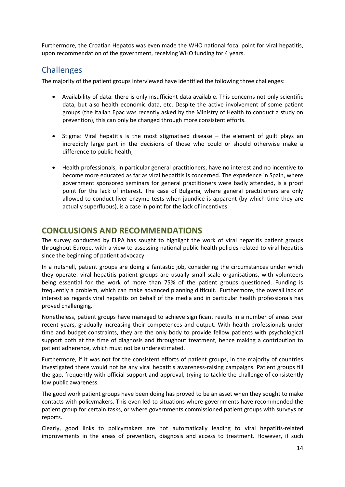Furthermore, the Croatian Hepatos was even made the WHO national focal point for viral hepatitis, upon recommendation of the government, receiving WHO funding for 4 years.

# <span id="page-16-0"></span>**Challenges**

The majority of the patient groups interviewed have identified the following three challenges:

- Availability of data: there is only insufficient data available. This concerns not only scientific data, but also health economic data, etc. Despite the active involvement of some patient groups (the Italian Epac was recently asked by the Ministry of Health to conduct a study on prevention), this can only be changed through more consistent efforts.
- $\bullet$  Stigma: Viral hepatitis is the most stigmatised disease the element of guilt plays an incredibly large part in the decisions of those who could or should otherwise make a difference to public health;
- Health professionals, in particular general practitioners, have no interest and no incentive to become more educated as far as viral hepatitis is concerned. The experience in Spain, where government sponsored seminars for general practitioners were badly attended, is a proof point for the lack of interest. The case of Bulgaria, where general practitioners are only allowed to conduct liver enzyme tests when jaundice is apparent (by which time they are actually superfluous), is a case in point for the lack of incentives.

# <span id="page-16-1"></span>**CONCLUSIONS AND RECOMMENDATIONS**

The survey conducted by ELPA has sought to highlight the work of viral hepatitis patient groups throughout Europe, with a view to assessing national public health policies related to viral hepatitis since the beginning of patient advocacy.

In a nutshell, patient groups are doing a fantastic job, considering the circumstances under which they operate: viral hepatitis patient groups are usually small scale organisations, with volunteers being essential for the work of more than 75% of the patient groups questioned. Funding is frequently a problem, which can make advanced planning difficult. Furthermore, the overall lack of interest as regards viral hepatitis on behalf of the media and in particular health professionals has proved challenging.

Nonetheless, patient groups have managed to achieve significant results in a number of areas over recent years, gradually increasing their competences and output. With health professionals under time and budget constraints, they are the only body to provide fellow patients with psychological support both at the time of diagnosis and throughout treatment, hence making a contribution to patient adherence, which must not be underestimated.

Furthermore, if it was not for the consistent efforts of patient groups, in the majority of countries investigated there would not be any viral hepatitis awareness-raising campaigns. Patient groups fill the gap, frequently with official support and approval, trying to tackle the challenge of consistently low public awareness.

The good work patient groups have been doing has proved to be an asset when they sought to make contacts with policymakers. This even led to situations where governments have recommended the patient group for certain tasks, or where governments commissioned patient groups with surveys or reports.

Clearly, good links to policymakers are not automatically leading to viral hepatitis-related improvements in the areas of prevention, diagnosis and access to treatment. However, if such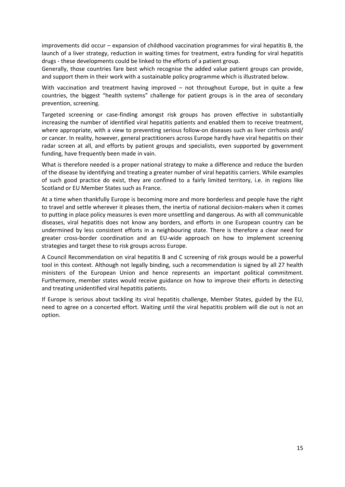improvements did occur – expansion of childhood vaccination programmes for viral hepatitis B, the launch of a liver strategy, reduction in waiting times for treatment, extra funding for viral hepatitis drugs - these developments could be linked to the efforts of a patient group.

Generally, those countries fare best which recognise the added value patient groups can provide, and support them in their work with a sustainable policy programme which is illustrated below.

With vaccination and treatment having improved – not throughout Europe, but in quite a few countries, the biggest "health systems" challenge for patient groups is in the area of secondary prevention, screening.

Targeted screening or case-finding amongst risk groups has proven effective in substantially increasing the number of identified viral hepatitis patients and enabled them to receive treatment, where appropriate, with a view to preventing serious follow-on diseases such as liver cirrhosis and/ or cancer. In reality, however, general practitioners across Europe hardly have viral hepatitis on their radar screen at all, and efforts by patient groups and specialists, even supported by government funding, have frequently been made in vain.

What is therefore needed is a proper national strategy to make a difference and reduce the burden of the disease by identifying and treating a greater number of viral hepatitis carriers. While examples of such good practice do exist, they are confined to a fairly limited territory, i.e. in regions like Scotland or EU Member States such as France.

At a time when thankfully Europe is becoming more and more borderless and people have the right to travel and settle wherever it pleases them, the inertia of national decision-makers when it comes to putting in place policy measures is even more unsettling and dangerous. As with all communicable diseases, viral hepatitis does not know any borders, and efforts in one European country can be undermined by less consistent efforts in a neighbouring state. There is therefore a clear need for greater cross-border coordination and an EU-wide approach on how to implement screening strategies and target these to risk groups across Europe.

A Council Recommendation on viral hepatitis B and C screening of risk groups would be a powerful tool in this context. Although not legally binding, such a recommendation is signed by all 27 health ministers of the European Union and hence represents an important political commitment. Furthermore, member states would receive guidance on how to improve their efforts in detecting and treating unidentified viral hepatitis patients.

If Europe is serious about tackling its viral hepatitis challenge, Member States, guided by the EU, need to agree on a concerted effort. Waiting until the viral hepatitis problem will die out is not an option.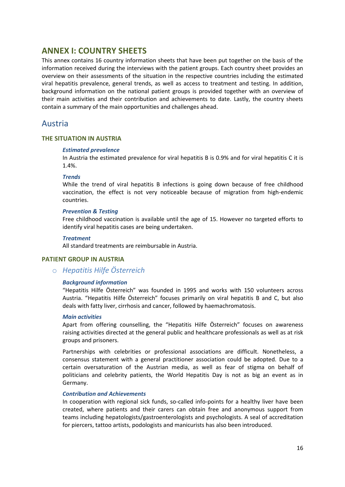# <span id="page-18-0"></span>**ANNEX I: COUNTRY SHEETS**

This annex contains 16 country information sheets that have been put together on the basis of the information received during the interviews with the patient groups. Each country sheet provides an overview on their assessments of the situation in the respective countries including the estimated viral hepatitis prevalence, general trends, as well as access to treatment and testing. In addition, background information on the national patient groups is provided together with an overview of their main activities and their contribution and achievements to date. Lastly, the country sheets contain a summary of the main opportunities and challenges ahead.

# <span id="page-18-1"></span>Austria

# **THE SITUATION IN AUSTRIA**

# *Estimated prevalence*

In Austria the estimated prevalence for viral hepatitis B is 0.9% and for viral hepatitis C it is 1.4%.

### *Trends*

While the trend of viral hepatitis B infections is going down because of free childhood vaccination, the effect is not very noticeable because of migration from high-endemic countries.

### *Prevention & Testing*

Free childhood vaccination is available until the age of 15. However no targeted efforts to identify viral hepatitis cases are being undertaken.

### *Treatment*

All standard treatments are reimbursable in Austria.

# **PATIENT GROUP IN AUSTRIA**

# o *Hepatitis Hilfe Österreich*

# *Background information*

"Hepatitis Hilfe Österreich" was founded in 1995 and works with 150 volunteers across Austria. "Hepatitis Hilfe Österreich" focuses primarily on viral hepatitis B and C, but also deals with fatty liver, cirrhosis and cancer, followed by haemachromatosis.

### *Main activities*

Apart from offering counselling, the "Hepatitis Hilfe Österreich" focuses on awareness raising activities directed at the general public and healthcare professionals as well as at risk groups and prisoners.

Partnerships with celebrities or professional associations are difficult. Nonetheless, a consensus statement with a general practitioner association could be adopted. Due to a certain oversaturation of the Austrian media, as well as fear of stigma on behalf of politicians and celebrity patients, the World Hepatitis Day is not as big an event as in Germany.

# *Contribution and Achievements*

In cooperation with regional sick funds, so-called info-points for a healthy liver have been created, where patients and their carers can obtain free and anonymous support from teams including hepatologists/gastroenterologists and psychologists. A seal of accreditation for piercers, tattoo artists, podologists and manicurists has also been introduced.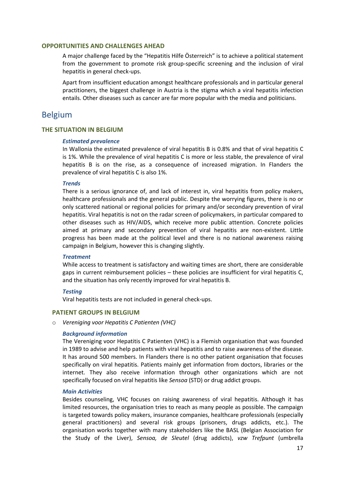### **OPPORTUNITIES AND CHALLENGES AHEAD**

A major challenge faced by the "Hepatitis Hilfe Österreich" is to achieve a political statement from the government to promote risk group-specific screening and the inclusion of viral hepatitis in general check-ups.

Apart from insufficient education amongst healthcare professionals and in particular general practitioners, the biggest challenge in Austria is the stigma which a viral hepatitis infection entails. Other diseases such as cancer are far more popular with the media and politicians.

# <span id="page-19-0"></span>Belgium

### **THE SITUATION IN BELGIUM**

### *Estimated prevalence*

In Wallonia the estimated prevalence of viral hepatitis B is 0.8% and that of viral hepatitis C is 1%. While the prevalence of viral hepatitis C is more or less stable, the prevalence of viral hepatitis B is on the rise, as a consequence of increased migration. In Flanders the prevalence of viral hepatitis C is also 1%.

### *Trends*

There is a serious ignorance of, and lack of interest in, viral hepatitis from policy makers, healthcare professionals and the general public. Despite the worrying figures, there is no or only scattered national or regional policies for primary and/or secondary prevention of viral hepatitis. Viral hepatitis is not on the radar screen of policymakers, in particular compared to other diseases such as HIV/AIDS, which receive more public attention. Concrete policies aimed at primary and secondary prevention of viral hepatitis are non-existent. Little progress has been made at the political level and there is no national awareness raising campaign in Belgium, however this is changing slightly.

### *Treatment*

While access to treatment is satisfactory and waiting times are short, there are considerable gaps in current reimbursement policies – these policies are insufficient for viral hepatitis C, and the situation has only recently improved for viral hepatitis B.

### *Testing*

Viral hepatitis tests are not included in general check-ups.

# **PATIENT GROUPS IN BELGIUM**

o *Vereniging voor Hepatitis C Patienten (VHC)* 

### *Background information*

The Vereniging voor Hepatitis C Patienten (VHC) is a Flemish organisation that was founded in 1989 to advise and help patients with viral hepatitis and to raise awareness of the disease. It has around 500 members. In Flanders there is no other patient organisation that focuses specifically on viral hepatitis. Patients mainly get information from doctors, libraries or the internet. They also receive information through other organizations which are not specifically focused on viral hepatitis like *Sensoa* (STD) or drug addict groups.

### *Main Activities*

Besides counseling, VHC focuses on raising awareness of viral hepatitis. Although it has limited resources, the organisation tries to reach as many people as possible. The campaign is targeted towards policy makers, insurance companies, healthcare professionals (especially general practitioners) and several risk groups (prisoners, drugs addicts, etc.). The organisation works together with many stakeholders like the BASL (Belgian Association for the Study of the Liver), *Sensoa, de Sleutel* (drug addicts), *vzw Trefpunt* (umbrella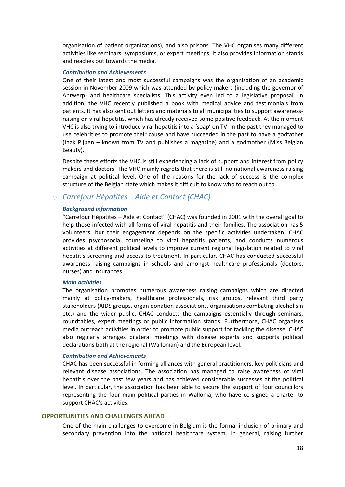organisation of patient organizations), and also prisons. The VHC organises many different activities like seminars, symposiums, or expert meetings. It also provides information stands and reaches out towards the media.

### *Contribution and Achievements*

One of their latest and most successful campaigns was the organisation of an academic session in November 2009 which was attended by policy makers (including the governor of Antwerp) and healthcare specialists. This activity even led to a legislative proposal. In addition, the VHC recently published a book with medical advice and testimonials from patients. It has also sent out letters and materials to all municipalities to support awarenessraising on viral hepatitis, which has already received some positive feedback. At the moment VHC is also trying to introduce viral hepatitis into a 'soap' on TV. In the past they managed to use celebrities to promote their cause and have succeeded in the past to have a godfather (Jaak Pijpen – known from TV and publishes a magazine) and a godmother (Miss Belgian Beauty).

Despite these efforts the VHC is still experiencing a lack of support and interest from policy makers and doctors. The VHC mainly regrets that there is still no national awareness raising campaign at political level. One of the reasons for the lack of success is the complex structure of the Belgian state which makes it difficult to know who to reach out to.

# o *Carrefour Hépatites – Aide et Contact (CHAC)*

### *Background information*

"Carrefour Hépatites – Aide et Contact" (CHAC) was founded in 2001 with the overall goal to help those infected with all forms of viral hepatitis and their families. The association has 5 volunteers, but their engagement depends on the specific activities undertaken. CHAC provides psychosocial counseling to viral hepatitis patients, and conducts numerous activities at different political levels to improve current regional legislation related to viral hepatitis screening and access to treatment. In particular, CHAC has conducted successful awareness raising campaigns in schools and amongst healthcare professionals (doctors, nurses) and insurances.

### *Main activities*

The organisation promotes numerous awareness raising campaigns which are directed mainly at policy-makers, healthcare professionals, risk groups, relevant third party stakeholders (AIDS groups, organ donation associations, organisations combating alcoholism etc.) and the wider public. CHAC conducts the campaigns essentially through seminars, roundtables, expert meetings or public information stands. Furthermore, CHAC organises media outreach activities in order to promote public support for tackling the disease. CHAC also regularly arranges bilateral meetings with disease experts and supports political declarations both at the regional (Wallonian) and the European level.

### *Contribution and Achievements*

CHAC has been successful in forming alliances with general practitioners, key politicians and relevant disease associations. The association has managed to raise awareness of viral hepatitis over the past few years and has achieved considerable successes at the political level. In particular, the association has been able to secure the support of four councillors representing the four main political parties in Wallonia, who have co-signed a charter to support CHAC's activities.

### **OPPORTUNITIES AND CHALLENGES AHEAD**

One of the main challenges to overcome in Belgium is the formal inclusion of primary and secondary prevention into the national healthcare system. In general, raising further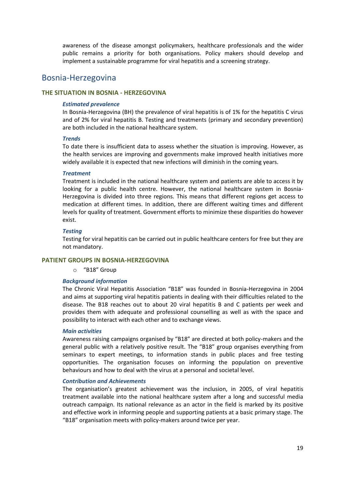awareness of the disease amongst policymakers, healthcare professionals and the wider public remains a priority for both organisations. Policy makers should develop and implement a sustainable programme for viral hepatitis and a screening strategy.

# <span id="page-21-0"></span>Bosnia-Herzegovina

# **THE SITUATION IN BOSNIA - HERZEGOVINA**

### *Estimated prevalence*

In Bosnia-Herzegovina (BH) the prevalence of viral hepatitis is of 1% for the hepatitis C virus and of 2% for viral hepatitis B. Testing and treatments (primary and secondary prevention) are both included in the national healthcare system.

#### *Trends*

To date there is insufficient data to assess whether the situation is improving. However, as the health services are improving and governments make improved health initiatives more widely available it is expected that new infections will diminish in the coming years.

### *Treatment*

Treatment is included in the national healthcare system and patients are able to access it by looking for a public health centre. However, the national healthcare system in Bosnia-Herzegovina is divided into three regions. This means that different regions get access to medication at different times. In addition, there are different waiting times and different levels for quality of treatment. Government efforts to minimize these disparities do however exist.

### *Testing*

Testing for viral hepatitis can be carried out in public healthcare centers for free but they are not mandatory.

### **PATIENT GROUPS IN BOSNIA-HERZEGOVINA**

o "B18" Group

### *Background information*

The Chronic Viral Hepatitis Association "B18" was founded in Bosnia-Herzegovina in 2004 and aims at supporting viral hepatitis patients in dealing with their difficulties related to the disease. The B18 reaches out to about 20 viral hepatitis B and C patients per week and provides them with adequate and professional counselling as well as with the space and possibility to interact with each other and to exchange views.

### *Main activities*

Awareness raising campaigns organised by "B18" are directed at both policy-makers and the general public with a relatively positive result. The "B18" group organises everything from seminars to expert meetings, to information stands in public places and free testing opportunities. The organisation focuses on informing the population on preventive behaviours and how to deal with the virus at a personal and societal level.

#### *Contribution and Achievements*

The organisation's greatest achievement was the inclusion, in 2005, of viral hepatitis treatment available into the national healthcare system after a long and successful media outreach campaign. Its national relevance as an actor in the field is marked by its positive and effective work in informing people and supporting patients at a basic primary stage. The "B18" organisation meets with policy-makers around twice per year.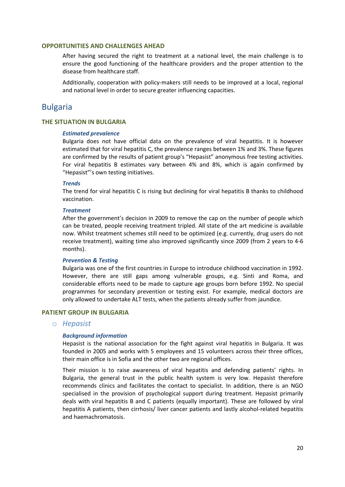### **OPPORTUNITIES AND CHALLENGES AHEAD**

After having secured the right to treatment at a national level, the main challenge is to ensure the good functioning of the healthcare providers and the proper attention to the disease from healthcare staff.

Additionally, cooperation with policy-makers still needs to be improved at a local, regional and national level in order to secure greater influencing capacities.

# <span id="page-22-0"></span>Bulgaria

### **THE SITUATION IN BULGARIA**

### *Estimated prevalence*

Bulgaria does not have official data on the prevalence of viral hepatitis. It is however estimated that for viral hepatitis C, the prevalence ranges between 1% and 3%. These figures are confirmed by the results of patient group's "Hepasist" anonymous free testing activities. For viral hepatitis B estimates vary between 4% and 8%, which is again confirmed by "Hepasist"'s own testing initiatives.

### *Trends*

The trend for viral hepatitis C is rising but declining for viral hepatitis B thanks to childhood vaccination.

### *Treatment*

After the government's decision in 2009 to remove the cap on the number of people which can be treated, people receiving treatment tripled. All state of the art medicine is available now. Whilst treatment schemes still need to be optimized (e.g. currently, drug users do not receive treatment), waiting time also improved significantly since 2009 (from 2 years to 4-6 months).

### *Prevention & Testing*

Bulgaria was one of the first countries in Europe to introduce childhood vaccination in 1992. However, there are still gaps among vulnerable groups, e.g. Sinti and Roma, and considerable efforts need to be made to capture age groups born before 1992. No special programmes for secondary prevention or testing exist. For example, medical doctors are only allowed to undertake ALT tests, when the patients already suffer from jaundice.

# **PATIENT GROUP IN BULGARIA**

# o *Hepasist*

### *Background information*

Hepasist is the national association for the fight against viral hepatitis in Bulgaria. It was founded in 2005 and works with 5 employees and 15 volunteers across their three offices, their main office is in Sofia and the other two are regional offices.

Their mission is to raise awareness of viral hepatitis and defending patients' rights. In Bulgaria, the general trust in the public health system is very low. Hepasist therefore recommends clinics and facilitates the contact to specialist. In addition, there is an NGO specialised in the provision of psychological support during treatment. Hepasist primarily deals with viral hepatitis B and C patients (equally important). These are followed by viral hepatitis A patients, then cirrhosis/ liver cancer patients and lastly alcohol-related hepatitis and haemachromatosis.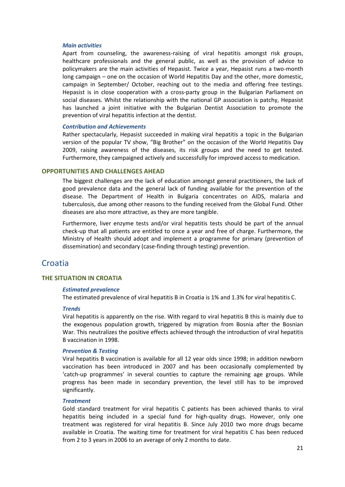### *Main activities*

Apart from counseling, the awareness-raising of viral hepatitis amongst risk groups, healthcare professionals and the general public, as well as the provision of advice to policymakers are the main activities of Hepasist. Twice a year, Hepasist runs a two-month long campaign – one on the occasion of World Hepatitis Day and the other, more domestic, campaign in September/ October, reaching out to the media and offering free testings. Hepasist is in close cooperation with a cross-party group in the Bulgarian Parliament on social diseases. Whilst the relationship with the national GP association is patchy, Hepasist has launched a joint initiative with the Bulgarian Dentist Association to promote the prevention of viral hepatitis infection at the dentist.

### *Contribution and Achievements*

Rather spectacularly, Hepasist succeeded in making viral hepatitis a topic in the Bulgarian version of the popular TV show, "Big Brother" on the occasion of the World Hepatitis Day 2009, raising awareness of the diseases, its risk groups and the need to get tested. Furthermore, they campaigned actively and successfully for improved access to medication.

### **OPPORTUNITIES AND CHALLENGES AHEAD**

The biggest challenges are the lack of education amongst general practitioners, the lack of good prevalence data and the general lack of funding available for the prevention of the disease. The Department of Health in Bulgaria concentrates on AIDS, malaria and tuberculosis, due among other reasons to the funding received from the Global Fund. Other diseases are also more attractive, as they are more tangible.

Furthermore, liver enzyme tests and/or viral hepatitis tests should be part of the annual check-up that all patients are entitled to once a year and free of charge. Furthermore, the Ministry of Health should adopt and implement a programme for primary (prevention of dissemination) and secondary (case-finding through testing) prevention.

# <span id="page-23-0"></span>**Croatia**

# **THE SITUATION IN CROATIA**

#### *Estimated prevalence*

The estimated prevalence of viral hepatitis B in Croatia is 1% and 1.3% for viral hepatitis C.

### *Trends*

Viral hepatitis is apparently on the rise. With regard to viral hepatitis B this is mainly due to the exogenous population growth, triggered by migration from Bosnia after the Bosnian War. This neutralizes the positive effects achieved through the introduction of viral hepatitis B vaccination in 1998.

### *Prevention & Testing*

Viral hepatitis B vaccination is available for all 12 year olds since 1998; in addition newborn vaccination has been introduced in 2007 and has been occasionally complemented by 'catch-up programmes' in several counties to capture the remaining age groups. While progress has been made in secondary prevention, the level still has to be improved significantly.

### *Treatment*

Gold standard treatment for viral hepatitis C patients has been achieved thanks to viral hepatitis being included in a special fund for high-quality drugs. However, only one treatment was registered for viral hepatitis B. Since July 2010 two more drugs became available in Croatia. The waiting time for treatment for viral hepatitis C has been reduced from 2 to 3 years in 2006 to an average of only 2 months to date.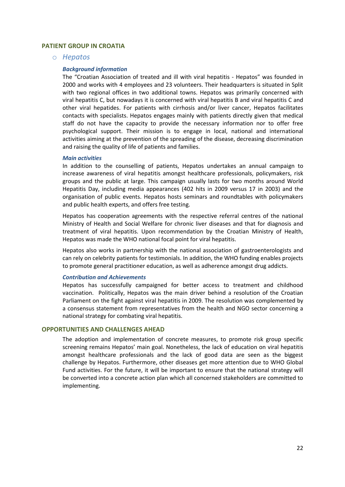### **PATIENT GROUP IN CROATIA**

o *Hepatos*

#### *Background information*

The "Croatian Association of treated and ill with viral hepatitis - Hepatos" was founded in 2000 and works with 4 employees and 23 volunteers. Their headquarters is situated in Split with two regional offices in two additional towns. Hepatos was primarily concerned with viral hepatitis C, but nowadays it is concerned with viral hepatitis B and viral hepatitis C and other viral hepatides. For patients with cirrhosis and/or liver cancer, Hepatos facilitates contacts with specialists. Hepatos engages mainly with patients directly given that medical staff do not have the capacity to provide the necessary information nor to offer free psychological support. Their mission is to engage in local, national and international activities aiming at the prevention of the spreading of the disease, decreasing discrimination and raising the quality of life of patients and families.

### *Main activities*

In addition to the counselling of patients, Hepatos undertakes an annual campaign to increase awareness of viral hepatitis amongst healthcare professionals, policymakers, risk groups and the public at large. This campaign usually lasts for two months around World Hepatitis Day, including media appearances (402 hits in 2009 versus 17 in 2003) and the organisation of public events. Hepatos hosts seminars and roundtables with policymakers and public health experts, and offers free testing.

Hepatos has cooperation agreements with the respective referral centres of the national Ministry of Health and Social Welfare for chronic liver diseases and that for diagnosis and treatment of viral hepatitis. Upon recommendation by the Croatian Ministry of Health, Hepatos was made the WHO national focal point for viral hepatitis.

Hepatos also works in partnership with the national association of gastroenterologists and can rely on celebrity patients for testimonials. In addition, the WHO funding enables projects to promote general practitioner education, as well as adherence amongst drug addicts.

#### *Contribution and Achievements*

Hepatos has successfully campaigned for better access to treatment and childhood vaccination. Politically, Hepatos was the main driver behind a resolution of the Croatian Parliament on the fight against viral hepatitis in 2009. The resolution was complemented by a consensus statement from representatives from the health and NGO sector concerning a national strategy for combating viral hepatitis.

### **OPPORTUNITIES AND CHALLENGES AHEAD**

The adoption and implementation of concrete measures, to promote risk group specific screening remains Hepatos' main goal. Nonetheless, the lack of education on viral hepatitis amongst healthcare professionals and the lack of good data are seen as the biggest challenge by Hepatos. Furthermore, other diseases get more attention due to WHO Global Fund activities. For the future, it will be important to ensure that the national strategy will be converted into a concrete action plan which all concerned stakeholders are committed to implementing.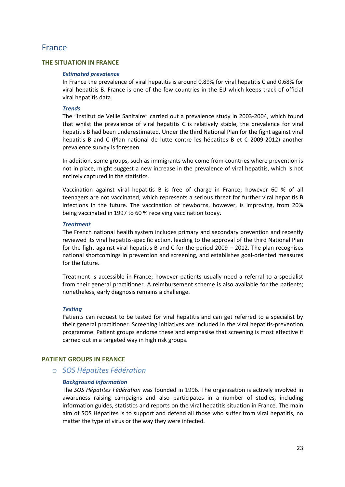# <span id="page-25-0"></span>France

# **THE SITUATION IN FRANCE**

### *Estimated prevalence*

In France the prevalence of viral hepatitis is around 0,89% for viral hepatitis C and 0.68% for viral hepatitis B. France is one of the few countries in the EU which keeps track of official viral hepatitis data.

### *Trends*

The "Institut de Veille Sanitaire" carried out a prevalence study in 2003-2004, which found that whilst the prevalence of viral hepatitis C is relatively stable, the prevalence for viral hepatitis B had been underestimated. Under the third National Plan for the fight against viral hepatitis B and C (Plan national de lutte contre les hépatites B et C 2009-2012) another prevalence survey is foreseen.

In addition, some groups, such as immigrants who come from countries where prevention is not in place, might suggest a new increase in the prevalence of viral hepatitis, which is not entirely captured in the statistics.

Vaccination against viral hepatitis B is free of charge in France; however 60 % of all teenagers are not vaccinated, which represents a serious threat for further viral hepatitis B infections in the future. The vaccination of newborns, however, is improving, from 20% being vaccinated in 1997 to 60 % receiving vaccination today.

### *Treatment*

The French national health system includes primary and secondary prevention and recently reviewed its viral hepatitis-specific action, leading to the approval of the third National Plan for the fight against viral hepatitis B and C for the period 2009 – 2012. The plan recognises national shortcomings in prevention and screening, and establishes goal-oriented measures for the future.

Treatment is accessible in France; however patients usually need a referral to a specialist from their general practitioner. A reimbursement scheme is also available for the patients; nonetheless, early diagnosis remains a challenge.

#### *Testing*

Patients can request to be tested for viral hepatitis and can get referred to a specialist by their general practitioner. Screening initiatives are included in the viral hepatitis-prevention programme. Patient groups endorse these and emphasise that screening is most effective if carried out in a targeted way in high risk groups.

### **PATIENT GROUPS IN FRANCE**

# o *SOS Hépatites Fédération*

### *Background information*

The *SOS Hépatites Fédération* was founded in 1996. The organisation is actively involved in awareness raising campaigns and also participates in a number of studies, including information guides, statistics and reports on the viral hepatitis situation in France. The main aim of SOS Hépatites is to support and defend all those who suffer from viral hepatitis, no matter the type of virus or the way they were infected.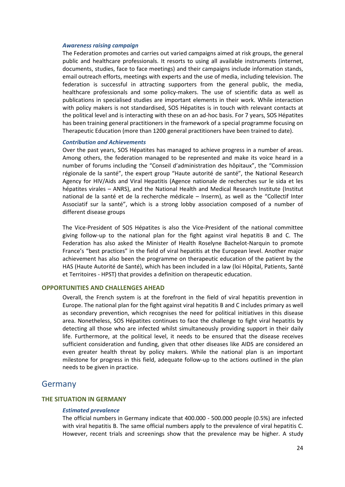#### *Awareness raising campaign*

The Federation promotes and carries out varied campaigns aimed at risk groups, the general public and healthcare professionals. It resorts to using all available instruments (internet, documents, studies, face to face meetings) and their campaigns include information stands, email outreach efforts, meetings with experts and the use of media, including television. The federation is successful in attracting supporters from the general public, the media, healthcare professionals and some policy-makers. The use of scientific data as well as publications in specialised studies are important elements in their work. While interaction with policy makers is not standardised, SOS Hépatites is in touch with relevant contacts at the political level and is interacting with these on an ad-hoc basis. For 7 years, SOS Hépatites has been training general practitioners in the framework of a special programme focusing on Therapeutic Education (more than 1200 general practitioners have been trained to date).

### *Contribution and Achievements*

Over the past years, SOS Hépatites has managed to achieve progress in a number of areas. Among others, the federation managed to be represented and make its voice heard in a number of forums including the "Conseil d'administration des hôpitaux", the "Commission régionale de la santé", the expert group "Haute autorité de santé", the National Research Agency for HIV/Aids and Viral Hepatitis (Agence nationale de recherches sur le sida et les hépatites virales – ANRS), and the National Health and Medical Research Institute (Institut national de la santé et de la recherche médicale – Inserm), as well as the "Collectif Inter Associatif sur la santé", which is a strong lobby association composed of a number of different disease groups

The Vice-President of SOS Hépatites is also the Vice-President of the national committee giving follow-up to the national plan for the fight against viral hepatitis B and C. The Federation has also asked the Minister of Health Roselyne Bachelot-Narquin to promote France's "best practices" in the field of viral hepatitis at the European level. Another major achievement has also been the programme on therapeutic education of the patient by the HAS (Haute Autorité de Santé), which has been included in a law (loi Hôpital, Patients, Santé et Territoires - HPST) that provides a definition on therapeutic education.

# **OPPORTUNITIES AND CHALLENGES AHEAD**

Overall, the French system is at the forefront in the field of viral hepatitis prevention in Europe. The national plan for the fight against viral hepatitis B and C includes primary as well as secondary prevention, which recognises the need for political initiatives in this disease area. Nonetheless, SOS Hépatites continues to face the challenge to fight viral hepatitis by detecting all those who are infected whilst simultaneously providing support in their daily life. Furthermore, at the political level, it needs to be ensured that the disease receives sufficient consideration and funding, given that other diseases like AIDS are considered an even greater health threat by policy makers. While the national plan is an important milestone for progress in this field, adequate follow-up to the actions outlined in the plan needs to be given in practice.

# <span id="page-26-0"></span>Germany

### **THE SITUATION IN GERMANY**

#### *Estimated prevalence*

The official numbers in Germany indicate that 400.000 - 500.000 people (0.5%) are infected with viral hepatitis B. The same official numbers apply to the prevalence of viral hepatitis C. However, recent trials and screenings show that the prevalence may be higher. A study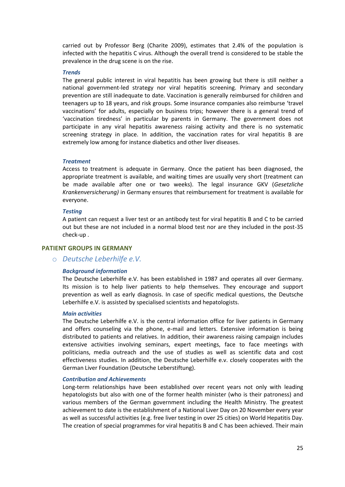carried out by Professor Berg (Charite 2009), estimates that 2.4% of the population is infected with the hepatitis C virus. Although the overall trend is considered to be stable the prevalence in the drug scene is on the rise.

### *Trends*

The general public interest in viral hepatitis has been growing but there is still neither a national government-led strategy nor viral hepatitis screening. Primary and secondary prevention are still inadequate to date. Vaccination is generally reimbursed for children and teenagers up to 18 years, and risk groups. Some insurance companies also reimburse 'travel vaccinations' for adults, especially on business trips; however there is a general trend of 'vaccination tiredness' in particular by parents in Germany. The government does not participate in any viral hepatitis awareness raising activity and there is no systematic screening strategy in place. In addition, the vaccination rates for viral hepatitis B are extremely low among for instance diabetics and other liver diseases.

### *Treatment*

Access to treatment is adequate in Germany. Once the patient has been diagnosed, the appropriate treatment is available, and waiting times are usually very short (treatment can be made available after one or two weeks). The legal insurance GKV (*Gesetzliche Krankenversicherung)* in Germany ensures that reimbursement for treatment is available for everyone.

### *Testing*

A patient can request a liver test or an antibody test for viral hepatitis B and C to be carried out but these are not included in a normal blood test nor are they included in the post-35 check-up .

### **PATIENT GROUPS IN GERMANY**

### o *Deutsche Leberhilfe e.V.*

### *Background information*

The Deutsche Leberhilfe e.V. has been established in 1987 and operates all over Germany. Its mission is to help liver patients to help themselves. They encourage and support prevention as well as early diagnosis. In case of specific medical questions, the Deutsche Leberhilfe e.V. is assisted by specialised scientists and hepatologists.

### *Main activities*

The Deutsche Leberhilfe e.V. is the central information office for liver patients in Germany and offers counseling via the phone, e-mail and letters. Extensive information is being distributed to patients and relatives. In addition, their awareness raising campaign includes extensive activities involving seminars, expert meetings, face to face meetings with politicians, media outreach and the use of studies as well as scientific data and cost effectiveness studies. In addition, the Deutsche Leberhilfe e.v. closely cooperates with the German Liver Foundation (Deutsche Leberstiftung).

#### *Contribution and Achievements*

Long-term relationships have been established over recent years not only with leading hepatologists but also with one of the former health minister (who is their patroness) and various members of the German government including the Health Ministry. The greatest achievement to date is the establishment of a National Liver Day on 20 November every year as well as successful activities (e.g. free liver testing in over 25 cities) on World Hepatitis Day. The creation of special programmes for viral hepatitis B and C has been achieved. Their main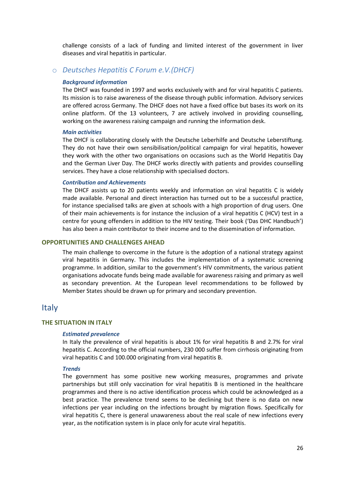challenge consists of a lack of funding and limited interest of the government in liver diseases and viral hepatitis in particular.

### o *Deutsches Hepatitis C Forum e.V.(DHCF)*

#### *Background information*

The DHCF was founded in 1997 and works exclusively with and for viral hepatitis C patients. Its mission is to raise awareness of the disease through public information. Advisory services are offered across Germany. The DHCF does not have a fixed office but bases its work on its online platform. Of the 13 volunteers, 7 are actively involved in providing counselling, working on the awareness raising campaign and running the information desk.

#### *Main activities*

The DHCF is collaborating closely with the Deutsche Leberhilfe and Deutsche Leberstiftung. They do not have their own sensibilisation/political campaign for viral hepatitis, however they work with the other two organisations on occasions such as the World Hepatitis Day and the German Liver Day. The DHCF works directly with patients and provides counselling services. They have a close relationship with specialised doctors.

### *Contribution and Achievements*

The DHCF assists up to 20 patients weekly and information on viral hepatitis C is widely made available. Personal and direct interaction has turned out to be a successful practice, for instance specialised talks are given at schools with a high proportion of drug users. One of their main achievements is for instance the inclusion of a viral hepatitis C (HCV) test in a centre for young offenders in addition to the HIV testing. Their book ('Das DHC Handbuch') has also been a main contributor to their income and to the dissemination of information.

### **OPPORTUNITIES AND CHALLENGES AHEAD**

The main challenge to overcome in the future is the adoption of a national strategy against viral hepatitis in Germany. This includes the implementation of a systematic screening programme. In addition, similar to the government's HIV commitments, the various patient organisations advocate funds being made available for awareness raising and primary as well as secondary prevention. At the European level recommendations to be followed by Member States should be drawn up for primary and secondary prevention.

# <span id="page-28-0"></span>Italy

### **THE SITUATION IN ITALY**

#### *Estimated prevalence*

In Italy the prevalence of viral hepatitis is about 1% for viral hepatitis B and 2.7% for viral hepatitis C. According to the official numbers, 230 000 suffer from cirrhosis originating from viral hepatitis C and 100.000 originating from viral hepatitis B.

#### *Trends*

The government has some positive new working measures, programmes and private partnerships but still only vaccination for viral hepatitis B is mentioned in the healthcare programmes and there is no active identification process which could be acknowledged as a best practice. The prevalence trend seems to be declining but there is no data on new infections per year including on the infections brought by migration flows. Specifically for viral hepatitis C, there is general unawareness about the real scale of new infections every year, as the notification system is in place only for acute viral hepatitis.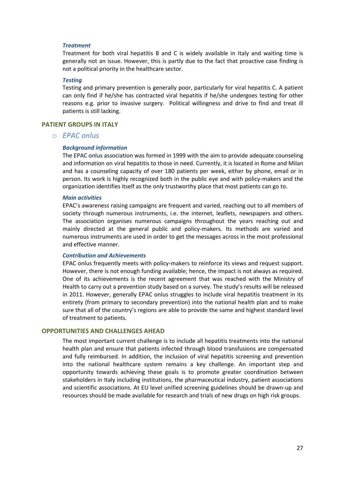### *Treatment*

Treatment for both viral hepatitis B and C is widely available in Italy and waiting time is generally not an issue. However, this is partly due to the fact that proactive case finding is not a political priority in the healthcare sector.

#### *Testing*

Testing and primary prevention is generally poor, particularly for viral hepatitis C. A patient can only find if he/she has contracted viral hepatitis if he/she undergoes testing for other reasons e.g. prior to invasive surgery. Political willingness and drive to find and treat ill patients is still lacking.

### **PATIENT GROUPS IN ITALY**

# o *EPAC onlus*

#### *Background information*

The EPAC onlus association was formed in 1999 with the aim to provide adequate counseling and information on viral hepatitis to those in need. Currently, it is located in Rome and Milan and has a counseling capacity of over 180 patients per week, either by phone, email or in person. Its work is highly recognized both in the public eye and with policy-makers and the organization identifies itself as the only trustworthy place that most patients can go to.

#### *Main activities*

EPAC's awareness raising campaigns are frequent and varied, reaching out to all members of society through numerous instruments, i.e. the internet, leaflets, newspapers and others. The association organises numerous campaigns throughout the years reaching out and mainly directed at the general public and policy-makers. Its methods are varied and numerous instruments are used in order to get the messages across in the most professional and effective manner.

#### *Contribution and Achievements*

EPAC onlus frequently meets with policy-makers to reinforce its views and request support. However, there is not enough funding available; hence, the impact is not always as required. One of its achievements is the recent agreement that was reached with the Ministry of Health to carry out a prevention study based on a survey. The study's results will be released in 2011. However, generally EPAC onlus struggles to include viral hepatitis treatment in its entirety (from primary to secondary prevention) into the national health plan and to make sure that all of the country's regions are able to provide the same and highest standard level of treatment to patients.

### **OPPORTUNITIES AND CHALLENGES AHEAD**

The most important current challenge is to include all hepatitis treatments into the national health plan and ensure that patients infected through blood transfusions are compensated and fully reimbursed. In addition, the inclusion of viral hepatitis screening and prevention into the national healthcare system remains a key challenge. An important step and opportunity towards achieving these goals is to promote greater coordination between stakeholders in Italy including institutions, the pharmaceutical industry, patient associations and scientific associations. At EU level unified screening guidelines should be drawn-up and resources should be made available for research and trials of new drugs on high risk groups.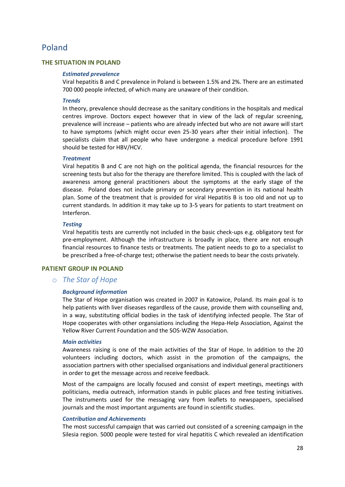# <span id="page-30-0"></span>Poland

# **THE SITUATION IN POLAND**

### *Estimated prevalence*

Viral hepatitis B and C prevalence in Poland is between 1.5% and 2%. There are an estimated 700 000 people infected, of which many are unaware of their condition.

### *Trends*

In theory, prevalence should decrease as the sanitary conditions in the hospitals and medical centres improve. Doctors expect however that in view of the lack of regular screening, prevalence will increase – patients who are already infected but who are not aware will start to have symptoms (which might occur even 25-30 years after their initial infection). The specialists claim that all people who have undergone a medical procedure before 1991 should be tested for HBV/HCV.

### *Treatment*

Viral hepatitis B and C are not high on the political agenda, the financial resources for the screening tests but also for the therapy are therefore limited. This is coupled with the lack of awareness among general practitioners about the symptoms at the early stage of the disease. Poland does not include primary or secondary prevention in its national health plan. Some of the treatment that is provided for viral Hepatitis B is too old and not up to current standards. In addition it may take up to 3-5 years for patients to start treatment on Interferon.

### *Testing*

Viral hepatitis tests are currently not included in the basic check-ups e.g. obligatory test for pre-employment. Although the infrastructure is broadly in place, there are not enough financial resources to finance tests or treatments. The patient needs to go to a specialist to be prescribed a free-of-charge test; otherwise the patient needs to bear the costs privately.

# **PATIENT GROUP IN POLAND**

# o *The Star of Hope*

# *Background information*

The Star of Hope organisation was created in 2007 in Katowice, Poland. Its main goal is to help patients with liver diseases regardless of the cause, provide them with counselling and, in a way, substituting official bodies in the task of identifying infected people. The Star of Hope cooperates with other organsiations including the Hepa-Help Association, Against the Yellow River Current Foundation and the SOS-WZW Association.

### *Main activities*

Awareness raising is one of the main activities of the Star of Hope. In addition to the 20 volunteers including doctors, which assist in the promotion of the campaigns, the association partners with other specialised organisations and individual general practitioners in order to get the message across and receive feedback.

Most of the campaigns are locally focused and consist of expert meetings, meetings with politicians, media outreach, information stands in public places and free testing initiatives. The instruments used for the messaging vary from leaflets to newspapers, specialised journals and the most important arguments are found in scientific studies.

# *Contribution and Achievements*

The most successful campaign that was carried out consisted of a screening campaign in the Silesia region. 5000 people were tested for viral hepatitis C which revealed an identification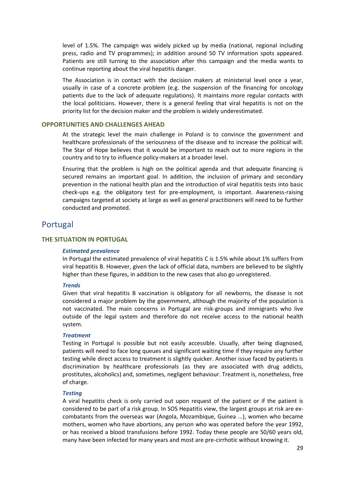level of 1.5%. The campaign was widely picked up by media (national, regional including press, radio and TV programmes); in addition around 50 TV information spots appeared. Patients are still turning to the association after this campaign and the media wants to continue reporting about the viral hepatitis danger.

The Association is in contact with the decision makers at ministerial level once a year, usually in case of a concrete problem (e.g. the suspension of the financing for oncology patients due to the lack of adequate regulations). It maintains more regular contacts with the local politicians. However, there is a general feeling that viral hepatitis is not on the priority list for the decision maker and the problem is widely underestimated.

### **OPPORTUNITIES AND CHALLENGES AHEAD**

At the strategic level the main challenge in Poland is to convince the government and healthcare professionals of the seriousness of the disease and to increase the political will. The Star of Hope believes that it would be important to reach out to more regions in the country and to try to influence policy-makers at a broader level.

Ensuring that the problem is high on the political agenda and that adequate financing is secured remains an important goal. In addition, the inclusion of primary and secondary prevention in the national health plan and the introduction of viral hepatitis tests into basic check-ups e.g. the obligatory test for pre-employment, is important. Awareness-raising campaigns targeted at society at large as well as general practitioners will need to be further conducted and promoted.

# <span id="page-31-0"></span>Portugal

### **THE SITUATION IN PORTUGAL**

### *Estimated prevalence*

In Portugal the estimated prevalence of viral hepatitis C is 1.5% while about 1% suffers from viral hepatitis B. However, given the lack of official data, numbers are believed to be slightly higher than these figures, in addition to the new cases that also go unregistered.

#### *Trends*

Given that viral hepatitis B vaccination is obligatory for all newborns, the disease is not considered a major problem by the government, although the majority of the population is not vaccinated. The main concerns in Portugal are risk-groups and immigrants who live outside of the legal system and therefore do not receive access to the national health system.

#### *Treatment*

Testing in Portugal is possible but not easily accessible. Usually, after being diagnosed, patients will need to face long queues and significant waiting time if they require any further testing while direct access to treatment is slightly quicker. Another issue faced by patients is discrimination by healthcare professionals (as they are associated with drug addicts, prostitutes, alcoholics) and, sometimes, negligent behaviour. Treatment is, nonetheless, free of charge.

#### *Testing*

A viral hepatitis check is only carried out upon request of the patient or if the patient is considered to be part of a risk group. In SOS Hepatitis view, the largest groups at risk are excombatants from the overseas war (Angola, Mozambique, Guinea ...), women who became mothers, women who have abortions, any person who was operated before the year 1992, or has received a blood transfusions before 1992. Today these people are 50/60 years old, many have been infected for many years and most are pre-cirrhotic without knowing it.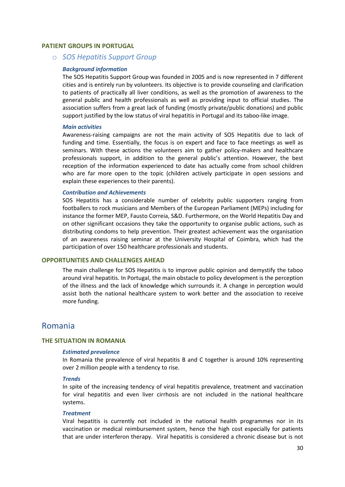### **PATIENT GROUPS IN PORTUGAL**

o *SOS Hepatitis Support Group* 

#### *Background information*

The SOS Hepatitis Support Group was founded in 2005 and is now represented in 7 different cities and is entirely run by volunteers. Its objective is to provide counseling and clarification to patients of practically all liver conditions, as well as the promotion of awareness to the general public and health professionals as well as providing input to official studies. The association suffers from a great lack of funding (mostly private/public donations) and public support justified by the low status of viral hepatitis in Portugal and its taboo-like image.

#### *Main activities*

Awareness-raising campaigns are not the main activity of SOS Hepatitis due to lack of funding and time. Essentially, the focus is on expert and face to face meetings as well as seminars. With these actions the volunteers aim to gather policy-makers and healthcare professionals support, in addition to the general public's attention. However, the best reception of the information experienced to date has actually come from school children who are far more open to the topic (children actively participate in open sessions and explain these experiences to their parents).

### *Contribution and Achievements*

SOS Hepatitis has a considerable number of celebrity public supporters ranging from footballers to rock musicians and Members of the European Parliament (MEPs) including for instance the former MEP, Fausto Correia, S&D. Furthermore, on the World Hepatitis Day and on other significant occasions they take the opportunity to organise public actions, such as distributing condoms to help prevention. Their greatest achievement was the organisation of an awareness raising seminar at the University Hospital of Coimbra, which had the participation of over 150 healthcare professionals and students.

### **OPPORTUNITIES AND CHALLENGES AHEAD**

The main challenge for SOS Hepatitis is to improve public opinion and demystify the taboo around viral hepatitis. In Portugal, the main obstacle to policy development is the perception of the illness and the lack of knowledge which surrounds it. A change in perception would assist both the national healthcare system to work better and the association to receive more funding.

# <span id="page-32-0"></span>Romania

### **THE SITUATION IN ROMANIA**

### *Estimated prevalence*

In Romania the prevalence of viral hepatitis B and C together is around 10% representing over 2 million people with a tendency to rise.

### *Trends*

In spite of the increasing tendency of viral hepatitis prevalence, treatment and vaccination for viral hepatitis and even liver cirrhosis are not included in the national healthcare systems.

#### *Treatment*

Viral hepatitis is currently not included in the national health programmes nor in its vaccination or medical reimbursement system, hence the high cost especially for patients that are under interferon therapy. Viral hepatitis is considered a chronic disease but is not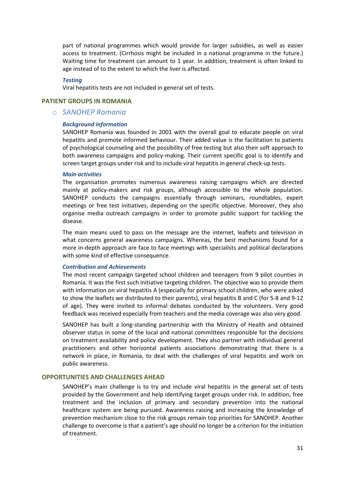part of national programmes which would provide for larger subsidies, as well as easier access to treatment. (Cirrhosis might be included in a national programme in the future.) Waiting time for treatment can amount to 1 year. In addition, treatment is often linked to age instead of to the extent to which the liver is affected.

#### *Testing*

Viral hepatitis tests are not included in general set of tests.

### **PATIENT GROUPS IN ROMANIA**

### o *SANOHEP Romania*

#### *Background information*

SANOHEP Romania was founded in 2001 with the overall goal to educate people on viral hepatitis and promote informed behaviour. Their added value is the facilitation to patients of psychological counseling and the possibility of free testing but also their soft approach to both awareness campaigns and policy-making. Their current specific goal is to identify and screen target groups under risk and to include viral hepatitis in general check-up tests.

### *Main activities*

The organisation promotes numerous awareness raising campaigns which are directed mainly at policy-makers and risk groups, although accessible to the whole population. SANOHEP conducts the campaigns essentially through seminars, roundtables, expert meetings or free test initiatives, depending on the specific objective. Moreover, they also organise media outreach campaigns in order to promote public support for tackling the disease.

The main means used to pass on the message are the internet, leaflets and television in what concerns general awareness campaigns. Whereas, the best mechanisms found for a more in-depth approach are face to face meetings with specialists and political declarations with some kind of effective consequence.

### *Contribution and Achievements*

The most recent campaign targeted school children and teenagers from 9 pilot counties in Romania. It was the first such initiative targeting children. The objective was to provide them with information on viral hepatitis A (especially for primary school children, who were asked to show the leaflets we distributed to their parents), viral hepatitis B and C (for 5-8 and 9-12 of age). They were invited to informal debates conducted by the volunteers. Very good feedback was received especially from teachers and the media coverage was also very good.

SANOHEP has built a long-standing partnership with the Ministry of Health and obtained observer status in some of the local and national committees responsible for the decisions on treatment availability and policy development. They also partner with individual general practitioners and other horizontal patients associations demonstrating that there is a network in place, in Romania, to deal with the challenges of viral hepatitis and work on public awareness.

### **OPPORTUNITIES AND CHALLENGES AHEAD**

SANOHEP's main challenge is to try and include viral hepatitis in the general set of tests provided by the Government and help identifying target groups under risk. In addition, free treatment and the inclusion of primary and secondary prevention into the national healthcare system are being pursued. Awareness raising and increasing the knowledge of prevention mechanism close to the risk groups remain top priorities for SANOHEP. Another challenge to overcome is that a patient's age should no longer be a criterion for the initiation of treatment.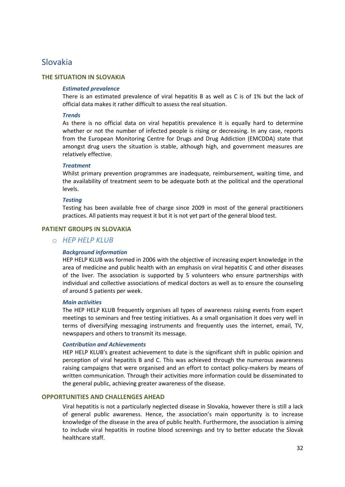# <span id="page-34-0"></span>Slovakia

### **THE SITUATION IN SLOVAKIA**

### *Estimated prevalence*

There is an estimated prevalence of viral hepatitis B as well as C is of 1% but the lack of official data makes it rather difficult to assess the real situation.

### *Trends*

As there is no official data on viral hepatitis prevalence it is equally hard to determine whether or not the number of infected people is rising or decreasing. In any case, reports from the European Monitoring Centre for Drugs and Drug Addiction (EMCDDA) state that amongst drug users the situation is stable, although high, and government measures are relatively effective.

### *Treatment*

Whilst primary prevention programmes are inadequate, reimbursement, waiting time, and the availability of treatment seem to be adequate both at the political and the operational levels.

### *Testing*

Testing has been available free of charge since 2009 in most of the general practitioners practices. All patients may request it but it is not yet part of the general blood test.

### **PATIENT GROUPS IN SLOVAKIA**

# o *HEP HELP KLUB*

### *Background information*

HEP HELP KLUB was formed in 2006 with the objective of increasing expert knowledge in the area of medicine and public health with an emphasis on viral hepatitis C and other diseases of the liver. The association is supported by 5 volunteers who ensure partnerships with individual and collective associations of medical doctors as well as to ensure the counseling of around 5 patients per week.

### *Main activities*

The HEP HELP KLUB frequently organises all types of awareness raising events from expert meetings to seminars and free testing initiatives. As a small organisation it does very well in terms of diversifying messaging instruments and frequently uses the internet, email, TV, newspapers and others to transmit its message.

### *Contribution and Achievements*

HEP HELP KLUB's greatest achievement to date is the significant shift in public opinion and perception of viral hepatitis B and C. This was achieved through the numerous awareness raising campaigns that were organised and an effort to contact policy-makers by means of written communication. Through their activities more information could be disseminated to the general public, achieving greater awareness of the disease.

# **OPPORTUNITIES AND CHALLENGES AHEAD**

Viral hepatitis is not a particularly neglected disease in Slovakia, however there is still a lack of general public awareness. Hence, the association's main opportunity is to increase knowledge of the disease in the area of public health. Furthermore, the association is aiming to include viral hepatitis in routine blood screenings and try to better educate the Slovak healthcare staff.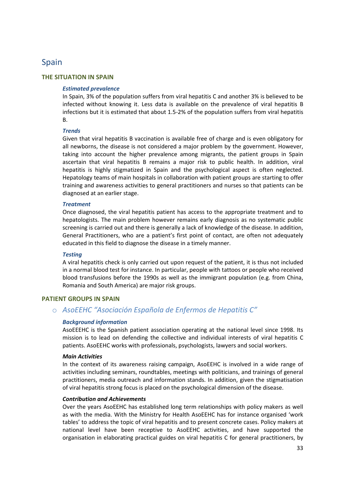# <span id="page-35-0"></span>Spain

# **THE SITUATION IN SPAIN**

# *Estimated prevalence*

In Spain, 3% of the population suffers from viral hepatitis C and another 3% is believed to be infected without knowing it. Less data is available on the prevalence of viral hepatitis B infections but it is estimated that about 1.5-2% of the population suffers from viral hepatitis B.

# *Trends*

Given that viral hepatitis B vaccination is available free of charge and is even obligatory for all newborns, the disease is not considered a major problem by the government. However, taking into account the higher prevalence among migrants, the patient groups in Spain ascertain that viral hepatitis B remains a major risk to public health. In addition, viral hepatitis is highly stigmatized in Spain and the psychological aspect is often neglected. Hepatology teams of main hospitals in collaboration with patient groups are starting to offer training and awareness activities to general practitioners and nurses so that patients can be diagnosed at an earlier stage.

# *Treatment*

Once diagnosed, the viral hepatitis patient has access to the appropriate treatment and to hepatologists. The main problem however remains early diagnosis as no systematic public screening is carried out and there is generally a lack of knowledge of the disease. In addition, General Practitioners, who are a patient's first point of contact, are often not adequately educated in this field to diagnose the disease in a timely manner.

# *Testing*

A viral hepatitis check is only carried out upon request of the patient, it is thus not included in a normal blood test for instance. In particular, people with tattoos or people who received blood transfusions before the 1990s as well as the immigrant population (e.g. from China, Romania and South America) are major risk groups.

# **PATIENT GROUPS IN SPAIN**

# o *AsoEEHC "Asociación Española de Enfermos de Hepatitis C"*

# *Background information*

AsoEEEHC is the Spanish patient association operating at the national level since 1998. Its mission is to lead on defending the collective and individual interests of viral hepatitis C patients. AsoEEHC works with professionals, psychologists, lawyers and social workers.

# *Main Activities*

In the context of its awareness raising campaign, AsoEEHC is involved in a wide range of activities including seminars, roundtables, meetings with politicians, and trainings of general practitioners, media outreach and information stands. In addition, given the stigmatisation of viral hepatitis strong focus is placed on the psychological dimension of the disease.

# *Contribution and Achievements*

Over the years AsoEEHC has established long term relationships with policy makers as well as with the media. With the Ministry for Health AsoEEHC has for instance organised 'work tables' to address the topic of viral hepatitis and to present concrete cases. Policy makers at national level have been receptive to AsoEEHC activities, and have supported the organisation in elaborating practical guides on viral hepatitis C for general practitioners, by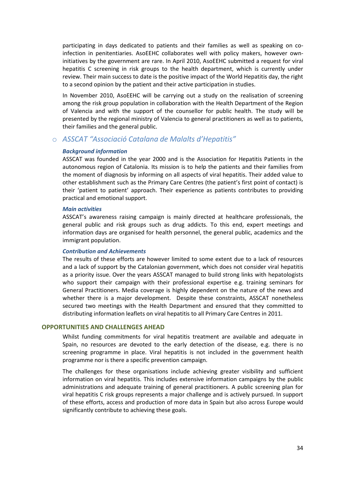participating in days dedicated to patients and their families as well as speaking on coinfection in penitentiaries. AsoEEHC collaborates well with policy makers, however owninitiatives by the government are rare. In April 2010, AsoEEHC submitted a request for viral hepatitis C screening in risk groups to the health department, which is currently under review. Their main success to date is the positive impact of the World Hepatitis day, the right to a second opinion by the patient and their active participation in studies.

In November 2010, AsoEEHC will be carrying out a study on the realisation of screening among the risk group population in collaboration with the Health Department of the Region of Valencia and with the support of the counsellor for public health. The study will be presented by the regional ministry of Valencia to general practitioners as well as to patients, their families and the general public.

# o *ASSCAT "Associació Catalana de Malalts d'Hepatitis"*

### *Background information*

ASSCAT was founded in the year 2000 and is the Association for Hepatitis Patients in the autonomous region of Catalonia. Its mission is to help the patients and their families from the moment of diagnosis by informing on all aspects of viral hepatitis. Their added value to other establishment such as the Primary Care Centres (the patient's first point of contact) is their 'patient to patient' approach. Their experience as patients contributes to providing practical and emotional support.

### *Main activities*

ASSCAT's awareness raising campaign is mainly directed at healthcare professionals, the general public and risk groups such as drug addicts. To this end, expert meetings and information days are organised for health personnel, the general public, academics and the immigrant population.

### *Contribution and Achievements*

The results of these efforts are however limited to some extent due to a lack of resources and a lack of support by the Catalonian government, which does not consider viral hepatitis as a priority issue. Over the years ASSCAT managed to build strong links with hepatologists who support their campaign with their professional expertise e.g. training seminars for General Practitioners. Media coverage is highly dependent on the nature of the news and whether there is a major development. Despite these constraints, ASSCAT nonetheless secured two meetings with the Health Department and ensured that they committed to distributing information leaflets on viral hepatitis to all Primary Care Centres in 2011.

### **OPPORTUNITIES AND CHALLENGES AHEAD**

Whilst funding commitments for viral hepatitis treatment are available and adequate in Spain, no resources are devoted to the early detection of the disease, e.g. there is no screening programme in place. Viral hepatitis is not included in the government health programme nor is there a specific prevention campaign.

The challenges for these organisations include achieving greater visibility and sufficient information on viral hepatitis. This includes extensive information campaigns by the public administrations and adequate training of general practitioners. A public screening plan for viral hepatitis C risk groups represents a major challenge and is actively pursued. In support of these efforts, access and production of more data in Spain but also across Europe would significantly contribute to achieving these goals.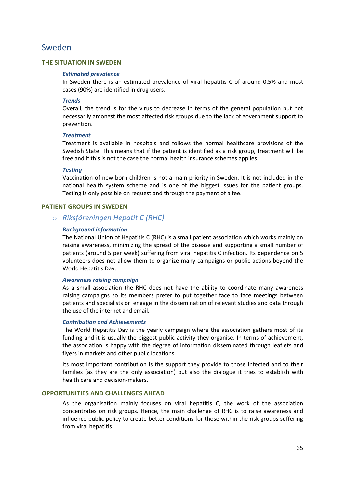# <span id="page-37-0"></span>Sweden

# **THE SITUATION IN SWEDEN**

### *Estimated prevalence*

In Sweden there is an estimated prevalence of viral hepatitis C of around 0.5% and most cases (90%) are identified in drug users.

### *Trends*

Overall, the trend is for the virus to decrease in terms of the general population but not necessarily amongst the most affected risk groups due to the lack of government support to prevention.

### *Treatment*

Treatment is available in hospitals and follows the normal healthcare provisions of the Swedish State. This means that if the patient is identified as a risk group, treatment will be free and if this is not the case the normal health insurance schemes applies.

### *Testing*

Vaccination of new born children is not a main priority in Sweden. It is not included in the national health system scheme and is one of the biggest issues for the patient groups. Testing is only possible on request and through the payment of a fee.

# **PATIENT GROUPS IN SWEDEN**

# o *Riksföreningen Hepatit C (RHC)*

### *Background information*

The National Union of Hepatitis C (RHC) is a small patient association which works mainly on raising awareness, minimizing the spread of the disease and supporting a small number of patients (around 5 per week) suffering from viral hepatitis C infection. Its dependence on 5 volunteers does not allow them to organize many campaigns or public actions beyond the World Hepatitis Day.

### *Awareness raising campaign*

As a small association the RHC does not have the ability to coordinate many awareness raising campaigns so its members prefer to put together face to face meetings between patients and specialists or engage in the dissemination of relevant studies and data through the use of the internet and email.

### *Contribution and Achievements*

The World Hepatitis Day is the yearly campaign where the association gathers most of its funding and it is usually the biggest public activity they organise. In terms of achievement, the association is happy with the degree of information disseminated through leaflets and flyers in markets and other public locations.

Its most important contribution is the support they provide to those infected and to their families (as they are the only association) but also the dialogue it tries to establish with health care and decision-makers.

### **OPPORTUNITIES AND CHALLENGES AHEAD**

As the organisation mainly focuses on viral hepatitis C, the work of the association concentrates on risk groups. Hence, the main challenge of RHC is to raise awareness and influence public policy to create better conditions for those within the risk groups suffering from viral hepatitis.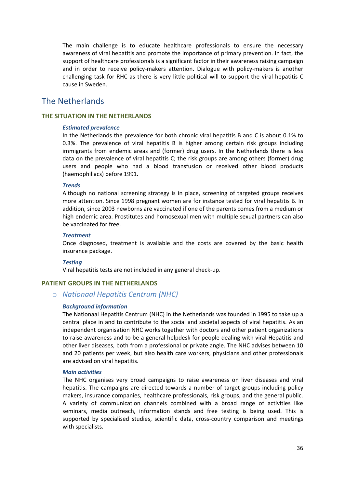The main challenge is to educate healthcare professionals to ensure the necessary awareness of viral hepatitis and promote the importance of primary prevention. In fact, the support of healthcare professionals is a significant factor in their awareness raising campaign and in order to receive policy-makers attention. Dialogue with policy-makers is another challenging task for RHC as there is very little political will to support the viral hepatitis C cause in Sweden.

# <span id="page-38-0"></span>The Netherlands

# **THE SITUATION IN THE NETHERLANDS**

### *Estimated prevalence*

In the Netherlands the prevalence for both chronic viral hepatitis B and C is about 0.1% to 0.3%. The prevalence of viral hepatitis B is higher among certain risk groups including immigrants from endemic areas and (former) drug users. In the Netherlands there is less data on the prevalence of viral hepatitis C; the risk groups are among others (former) drug users and people who had a blood transfusion or received other blood products (haemophiliacs) before 1991.

### *Trends*

Although no national screening strategy is in place, screening of targeted groups receives more attention. Since 1998 pregnant women are for instance tested for viral hepatitis B. In addition, since 2003 newborns are vaccinated if one of the parents comes from a medium or high endemic area. Prostitutes and homosexual men with multiple sexual partners can also be vaccinated for free.

### *Treatment*

Once diagnosed, treatment is available and the costs are covered by the basic health insurance package.

# *Testing*

Viral hepatitis tests are not included in any general check-up.

# **PATIENT GROUPS IN THE NETHERLANDS**

# o *Nationaal Hepatitis Centrum (NHC)*

# *Background information*

The Nationaal Hepatitis Centrum (NHC) in the Netherlands was founded in 1995 to take up a central place in and to contribute to the social and societal aspects of viral hepatitis. As an independent organisation NHC works together with doctors and other patient organizations to raise awareness and to be a general helpdesk for people dealing with viral Hepatitis and other liver diseases, both from a professional or private angle. The NHC advises between 10 and 20 patients per week, but also health care workers, physicians and other professionals are advised on viral hepatitis.

### *Main activities*

The NHC organises very broad campaigns to raise awareness on liver diseases and viral hepatitis. The campaigns are directed towards a number of target groups including policy makers, insurance companies, healthcare professionals, risk groups, and the general public. A variety of communication channels combined with a broad range of activities like seminars, media outreach, information stands and free testing is being used. This is supported by specialised studies, scientific data, cross-country comparison and meetings with specialists.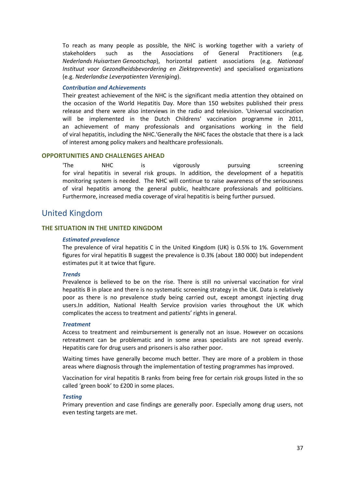To reach as many people as possible, the NHC is working together with a variety of stakeholders such as the Associations of General Practitioners (e.g. *Nederlands Huisartsen Genootschap*), horizontal patient associations (e.g. *Nationaal Instituut voor Gezondheidsbevordering en Ziektepreventie*) and specialised organizations (e.g. *Nederlandse Leverpatienten Vereniging*).

### *Contribution and Achievements*

Their greatest achievement of the NHC is the significant media attention they obtained on the occasion of the World Hepatitis Day. More than 150 websites published their press release and there were also interviews in the radio and television. 'Universal vaccination will be implemented in the Dutch Childrens' vaccination programme in 2011, an achievement of many professionals and organisations working in the field of viral hepatitis, including the NHC.'Generally the NHC faces the obstacle that there is a lack of interest among policy makers and healthcare professionals.

### **OPPORTUNITIES AND CHALLENGES AHEAD**

'The NHC is vigorously pursuing screening for viral hepatitis in several risk groups. In addition, the development of a hepatitis monitoring system is needed. The NHC will continue to raise awareness of the seriousness of viral hepatitis among the general public, healthcare professionals and politicians. Furthermore, increased media coverage of viral hepatitis is being further pursued.

# <span id="page-39-0"></span>United Kingdom

# **THE SITUATION IN THE UNITED KINGDOM**

### *Estimated prevalence*

The prevalence of viral hepatitis C in the United Kingdom (UK) is 0.5% to 1%. Government figures for viral hepatitis B suggest the prevalence is 0.3% (about 180 000) but independent estimates put it at twice that figure.

### *Trends*

Prevalence is believed to be on the rise. There is still no universal vaccination for viral hepatitis B in place and there is no systematic screening strategy in the UK. Data is relatively poor as there is no prevalence study being carried out, except amongst injecting drug users.In addition, National Health Service provision varies throughout the UK which complicates the access to treatment and patients' rights in general.

#### *Treatment*

Access to treatment and reimbursement is generally not an issue. However on occasions retreatment can be problematic and in some areas specialists are not spread evenly. Hepatitis care for drug users and prisoners is also rather poor.

Waiting times have generally become much better. They are more of a problem in those areas where diagnosis through the implementation of testing programmes has improved.

Vaccination for viral hepatitis B ranks from being free for certain risk groups listed in the so called 'green book' to £200 in some places.

#### *Testing*

Primary prevention and case findings are generally poor. Especially among drug users, not even testing targets are met.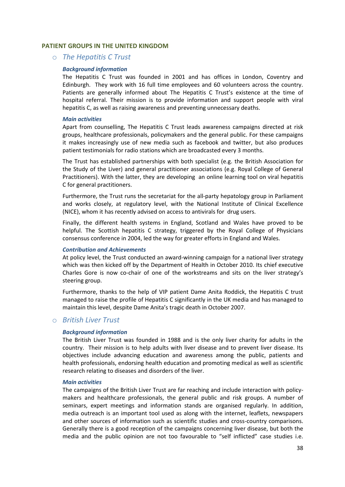### **PATIENT GROUPS IN THE UNITED KINGDOM**

### o *The Hepatitis C Trust*

### *Background information*

The Hepatitis C Trust was founded in 2001 and has offices in London, Coventry and Edinburgh. They work with 16 full time employees and 60 volunteers across the country. Patients are generally informed about The Hepatitis C Trust's existence at the time of hospital referral. Their mission is to provide information and support people with viral hepatitis C, as well as raising awareness and preventing unnecessary deaths.

#### *Main activities*

Apart from counselling, The Hepatitis C Trust leads awareness campaigns directed at risk groups, healthcare professionals, policymakers and the general public. For these campaigns it makes increasingly use of new media such as facebook and twitter, but also produces patient testimonials for radio stations which are broadcasted every 3 months.

The Trust has established partnerships with both specialist (e.g. the British Association for the Study of the Liver) and general practitioner associations (e.g. Royal College of General Practitioners). With the latter, they are developing an online learning tool on viral hepatitis C for general practitioners.

Furthermore, the Trust runs the secretariat for the all-party hepatology group in Parliament and works closely, at regulatory level, with the National Institute of Clinical Excellence (NICE), whom it has recently advised on access to antivirals for drug users.

Finally, the different health systems in England, Scotland and Wales have proved to be helpful. The Scottish hepatitis C strategy, triggered by the Royal College of Physicians consensus conference in 2004, led the way for greater efforts in England and Wales.

### *Contribution and Achievements*

At policy level, the Trust conducted an award-winning campaign for a national liver strategy which was then kicked off by the Department of Health in October 2010. Its chief executive Charles Gore is now co-chair of one of the workstreams and sits on the liver strategy's steering group.

Furthermore, thanks to the help of VIP patient Dame Anita Roddick, the Hepatitis C trust managed to raise the profile of Hepatitis C significantly in the UK media and has managed to maintain this level, despite Dame Anita's tragic death in October 2007.

### o *British Liver Trust*

### *Background information*

The British Liver Trust was founded in 1988 and is the only liver charity for adults in the country. Their mission is to help adults with liver disease and to prevent liver disease. Its objectives include advancing education and awareness among the public, patients and health professionals, endorsing health education and promoting medical as well as scientific research relating to diseases and disorders of the liver.

### *Main activities*

The campaigns of the British Liver Trust are far reaching and include interaction with policymakers and healthcare professionals, the general public and risk groups. A number of seminars, expert meetings and information stands are organised regularly. In addition, media outreach is an important tool used as along with the internet, leaflets, newspapers and other sources of information such as scientific studies and cross-country comparisons. Generally there is a good reception of the campaigns concerning liver disease, but both the media and the public opinion are not too favourable to "self inflicted" case studies i.e.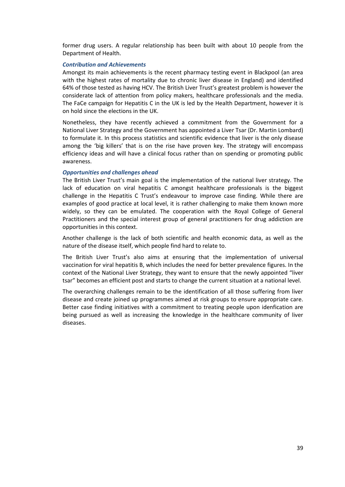former drug users. A regular relationship has been built with about 10 people from the Department of Health.

### *Contribution and Achievements*

Amongst its main achievements is the recent pharmacy testing event in Blackpool (an area with the highest rates of mortality due to chronic liver disease in England) and identified 64% of those tested as having HCV. The British Liver Trust's greatest problem is however the considerate lack of attention from policy makers, healthcare professionals and the media. The FaCe campaign for Hepatitis C in the UK is led by the Health Department, however it is on hold since the elections in the UK.

Nonetheless, they have recently achieved a commitment from the Government for a National Liver Strategy and the Government has appointed a Liver Tsar (Dr. Martin Lombard) to formulate it. In this process statistics and scientific evidence that liver is the only disease among the 'big killers' that is on the rise have proven key. The strategy will encompass efficiency ideas and will have a clinical focus rather than on spending or promoting public awareness.

### *Opportunities and challenges ahead*

The British Liver Trust's main goal is the implementation of the national liver strategy. The lack of education on viral hepatitis C amongst healthcare professionals is the biggest challenge in the Hepatitis C Trust's endeavour to improve case finding. While there are examples of good practice at local level, it is rather challenging to make them known more widely, so they can be emulated. The cooperation with the Royal College of General Practitioners and the special interest group of general practitioners for drug addiction are opportunities in this context.

Another challenge is the lack of both scientific and health economic data, as well as the nature of the disease itself, which people find hard to relate to.

The British Liver Trust's also aims at ensuring that the implementation of universal vaccination for viral hepatitis B, which includes the need for better prevalence figures. In the context of the National Liver Strategy, they want to ensure that the newly appointed "liver tsar" becomes an efficient post and starts to change the current situation at a national level.

The overarching challenges remain to be the identification of all those suffering from liver disease and create joined up programmes aimed at risk groups to ensure appropriate care. Better case finding initiatives with a commitment to treating people upon idenfication are being pursued as well as increasing the knowledge in the healthcare community of liver diseases.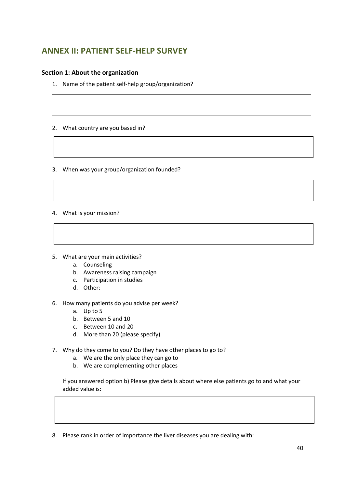# <span id="page-42-0"></span>**ANNEX II: PATIENT SELF-HELP SURVEY**

# **Section 1: About the organization**

- 1. Name of the patient self-help group/organization?
- 2. What country are you based in?
- 3. When was your group/organization founded?
- 4. What is your mission?
- 5. What are your main activities?
	- a. Counseling
	- b. Awareness raising campaign
	- c. Participation in studies
	- d. Other:
- 6. How many patients do you advise per week?
	- a. Up to 5
	- b. Between 5 and 10
	- c. Between 10 and 20
	- d. More than 20 (please specify)
- 7. Why do they come to you? Do they have other places to go to?
	- a. We are the only place they can go to
	- b. We are complementing other places

If you answered option b) Please give details about where else patients go to and what your added value is:

8. Please rank in order of importance the liver diseases you are dealing with: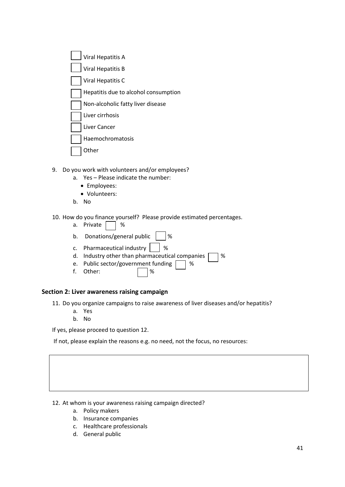| <b>Viral Hepatitis A</b>             |  |  |  |  |
|--------------------------------------|--|--|--|--|
| <b>Viral Hepatitis B</b>             |  |  |  |  |
| Viral Hepatitis C                    |  |  |  |  |
| Hepatitis due to alcohol consumption |  |  |  |  |
| Non-alcoholic fatty liver disease    |  |  |  |  |
| Liver cirrhosis                      |  |  |  |  |
| Liver Cancer                         |  |  |  |  |
| Haemochromatosis                     |  |  |  |  |
| er                                   |  |  |  |  |

- 9. Do you work with volunteers and/or employees?
	- a. Yes Please indicate the number:
		- Employees:
		- Volunteers:
	- b. No
- 10. How do you finance yourself? Please provide estimated percentages.
	- a. Private  $\Box$  %
	- b. Donations/general public  $\vert \cdot \vert$ %
	- c. Pharmaceutical industry  $\|\cdot\|$ %
	- d. Industry other than pharmaceutical companies  $\Box$  %
	- e. Public sector/government funding  $\Box$  %
	- f. Other: 1%

# **Section 2: Liver awareness raising campaign**

11. Do you organize campaigns to raise awareness of liver diseases and/or hepatitis?

- a. Yes
- b. No

If yes, please proceed to question 12.

If not, please explain the reasons e.g. no need, not the focus, no resources:

12. At whom is your awareness raising campaign directed?

- a. Policy makers
- b. Insurance companies
- c. Healthcare professionals
- d. General public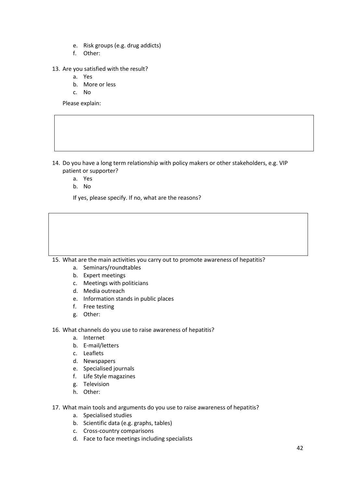- e. Risk groups (e.g. drug addicts)
- f. Other:
- 13. Are you satisfied with the result?
	- a. Yes
	- b. More or less
	- c. No

Please explain:

- 14. Do you have a long term relationship with policy makers or other stakeholders, e.g. VIP patient or supporter?
	- a. Yes
	- b. No

If yes, please specify. If no, what are the reasons?

15. What are the main activities you carry out to promote awareness of hepatitis?

- a. Seminars/roundtables
- b. Expert meetings
- c. Meetings with politicians
- d. Media outreach
- e. Information stands in public places
- f. Free testing
- g. Other:

16. What channels do you use to raise awareness of hepatitis?

- a. Internet
- b. E-mail/letters
- c. Leaflets
- d. Newspapers
- e. Specialised journals
- f. Life Style magazines
- g. Television
- h. Other:
- 17. What main tools and arguments do you use to raise awareness of hepatitis?
	- a. Specialised studies
	- b. Scientific data (e.g. graphs, tables)
	- c. Cross-country comparisons
	- d. Face to face meetings including specialists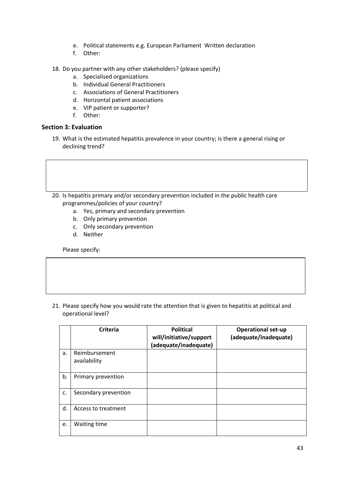- e. Political statements e.g. European Parliament Written declaration
- f. Other:
- 18. Do you partner with any other stakeholders? (please specify)
	- a. Specialised organizations
	- b. Individual General Practitioners
	- c. Associations of General Practitioners
	- d. Horizontal patient associations
	- e. VIP patient or supporter?
	- f. Other:

# **Section 3: Evaluation**

- 19. What is the estimated hepatitis prevalence in your country; is there a general rising or declining trend?
- 20. Is hepatitis primary and/or secondary prevention included in the public health care programmes/policies of your country?
	- a. Yes, primary and secondary prevention
	- b. Only primary prevention
	- c. Only secondary prevention
	- d. Neither

Please specify:

21. Please specify how you would rate the attention that is given to hepatitis at political and operational level?

|    | Criteria             | <b>Political</b><br>will/initiative/support<br>(adequate/inadequate) | <b>Operational set-up</b><br>(adequate/inadequate) |
|----|----------------------|----------------------------------------------------------------------|----------------------------------------------------|
| a. | Reimbursement        |                                                                      |                                                    |
|    | availability         |                                                                      |                                                    |
| b. | Primary prevention   |                                                                      |                                                    |
| c. | Secondary prevention |                                                                      |                                                    |
| d. | Access to treatment  |                                                                      |                                                    |
| e. | Waiting time         |                                                                      |                                                    |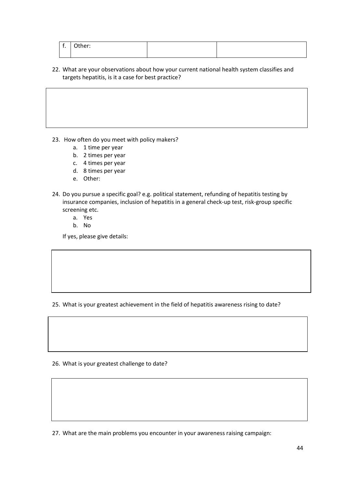| $\epsilon$<br>. . | Cther: |  |
|-------------------|--------|--|
|                   |        |  |

22. What are your observations about how your current national health system classifies and targets hepatitis, is it a case for best practice?

23. How often do you meet with policy makers?

- a. 1 time per year
- b. 2 times per year
- c. 4 times per year
- d. 8 times per year
- e. Other:
- 24. Do you pursue a specific goal? e.g. political statement, refunding of hepatitis testing by insurance companies, inclusion of hepatitis in a general check-up test, risk-group specific screening etc.
	- a. Yes
	- b. No

If yes, please give details:

25. What is your greatest achievement in the field of hepatitis awareness rising to date?

26. What is your greatest challenge to date?

27. What are the main problems you encounter in your awareness raising campaign: